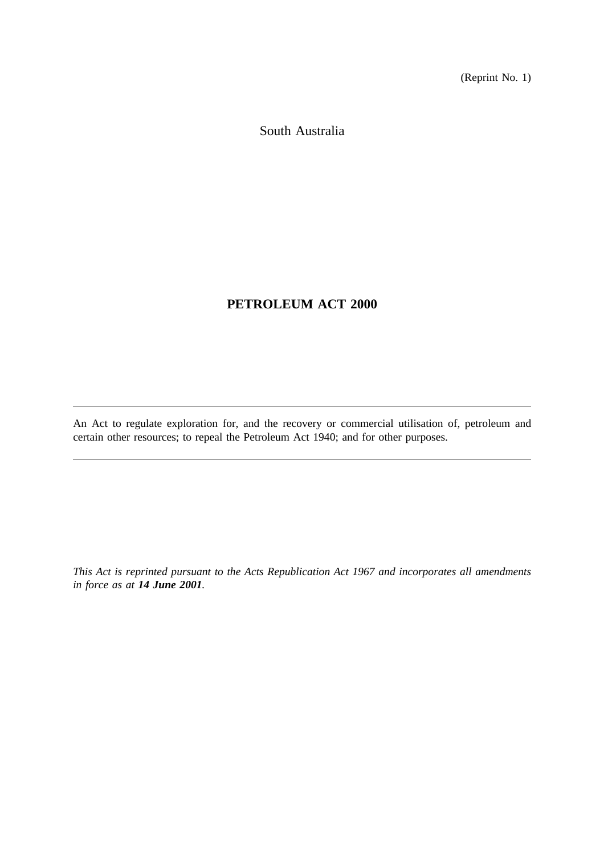(Reprint No. 1)

South Australia

# **PETROLEUM ACT 2000**

An Act to regulate exploration for, and the recovery or commercial utilisation of, petroleum and certain other resources; to repeal the Petroleum Act 1940; and for other purposes.

*This Act is reprinted pursuant to the Acts Republication Act 1967 and incorporates all amendments in force as at 14 June 2001.*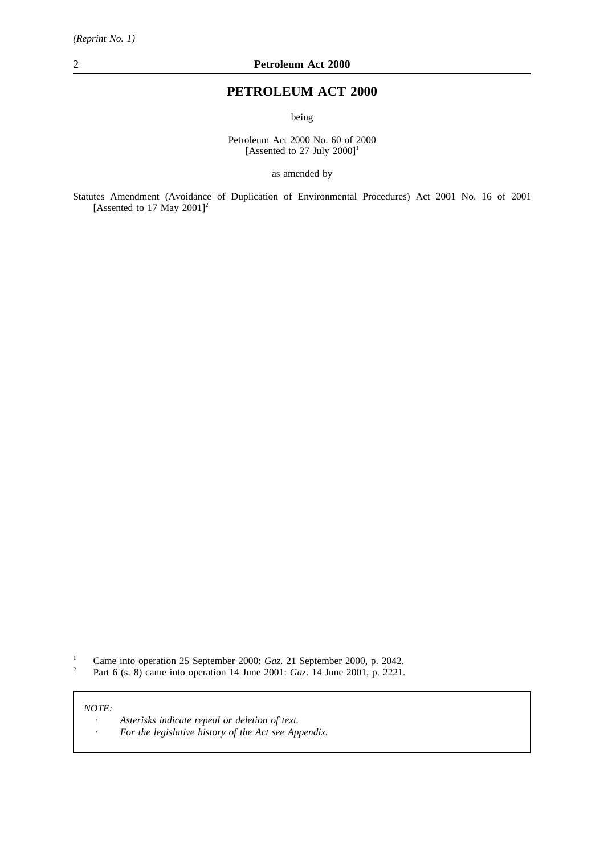# **PETROLEUM ACT 2000**

being

Petroleum Act 2000 No. 60 of 2000 [Assented to 27 July  $2000$ ]<sup>1</sup>

as amended by

Statutes Amendment (Avoidance of Duplication of Environmental Procedures) Act 2001 No. 16 of 2001 [Assented to 17 May  $2001$ ]<sup>2</sup>

<sup>1</sup> Came into operation 25 September 2000: *Gaz*. 21 September 2000, p. 2042.<br><sup>2</sup> Part 6 (s. 8) came into operation 14 June 2001: *Gaz*. 14 June 2001, p. 2221

<sup>2</sup> Part 6 (s. 8) came into operation 14 June 2001: *Gaz*. 14 June 2001, p. 2221.

### *NOTE:*

*Asterisks indicate repeal or deletion of text.*  $\Delta$ *For the legislative history of the Act see Appendix.* $\mathbb{Z}$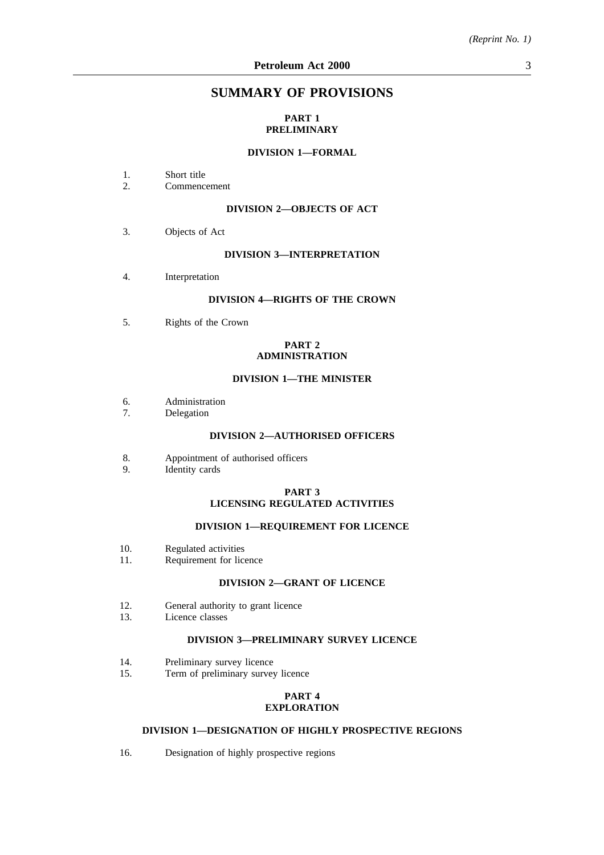## **SUMMARY OF PROVISIONS**

## **PART 1 PRELIMINARY**

## **DIVISION 1—FORMAL**

- 1. Short title<br>2. Commence
- 2. Commencement

## **DIVISION 2—OBJECTS OF ACT**

3. Objects of Act

#### **DIVISION 3—INTERPRETATION**

4. Interpretation

## **DIVISION 4—RIGHTS OF THE CROWN**

5. Rights of the Crown

#### **PART 2 ADMINISTRATION**

## **DIVISION 1—THE MINISTER**

- 6. Administration
- 7. Delegation

#### **DIVISION 2—AUTHORISED OFFICERS**

- 8. Appointment of authorised officers
- 9. Identity cards

#### **PART 3 LICENSING REGULATED ACTIVITIES**

## **DIVISION 1—REQUIREMENT FOR LICENCE**

- 10. Regulated activities<br>11. Requirement for lice
- Requirement for licence

## **DIVISION 2—GRANT OF LICENCE**

- 12. General authority to grant licence<br>13. Licence classes
- Licence classes

# **DIVISION 3—PRELIMINARY SURVEY LICENCE**

- 14. Preliminary survey licence<br>15. Term of preliminary survey
- Term of preliminary survey licence

## **PART 4 EXPLORATION**

### **DIVISION 1—DESIGNATION OF HIGHLY PROSPECTIVE REGIONS**

16. Designation of highly prospective regions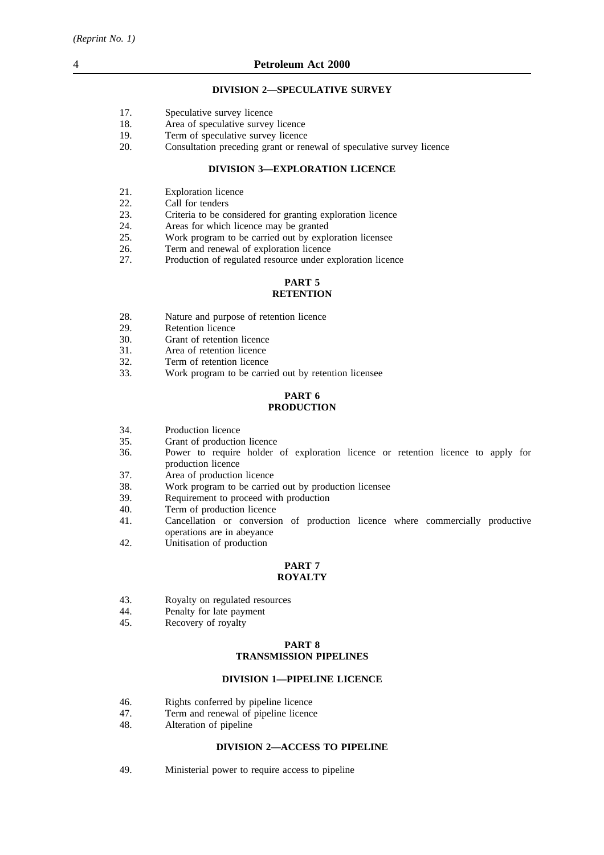### **DIVISION 2—SPECULATIVE SURVEY**

- 17. Speculative survey licence<br>18. Area of speculative survey
- 18. Area of speculative survey licence<br>19. Term of speculative survey licence
- Term of speculative survey licence
- 20. Consultation preceding grant or renewal of speculative survey licence

### **DIVISION 3—EXPLORATION LICENCE**

- 21. Exploration licence
- 22. Call for tenders<br>23. Criteria to be co
- Criteria to be considered for granting exploration licence
- 24. Areas for which licence may be granted
- 25. Work program to be carried out by exploration licensee
- 26. Term and renewal of exploration licence
- 27. Production of regulated resource under exploration licence

#### **PART 5 RETENTION**

- 28. Nature and purpose of retention licence<br>29. Retention licence
- 29. Retention licence<br>30. Grant of retention
- Grant of retention licence
- 31. Area of retention licence
- 32. Term of retention licence
- 33. Work program to be carried out by retention licensee

### **PART 6 PRODUCTION**

- 34. Production licence
- 35. Grant of production licence
- 36. Power to require holder of exploration licence or retention licence to apply for production licence
- 37. Area of production licence
- 38. Work program to be carried out by production licensee
- 39. Requirement to proceed with production<br>40. Term of production licence
- Term of production licence
- 41. Cancellation or conversion of production licence where commercially productive operations are in abeyance
- 42. Unitisation of production

# **PART 7**

## **ROYALTY**

- 43. Royalty on regulated resources<br>44 Penalty for late payment
- 44. Penalty for late payment<br>45. Recovery of rovalty
- Recovery of royalty

#### **PART 8 TRANSMISSION PIPELINES**

#### **DIVISION 1—PIPELINE LICENCE**

- 46. Rights conferred by pipeline licence
- 47. Term and renewal of pipeline licence
- 48. Alteration of pipeline

#### **DIVISION 2—ACCESS TO PIPELINE**

49. Ministerial power to require access to pipeline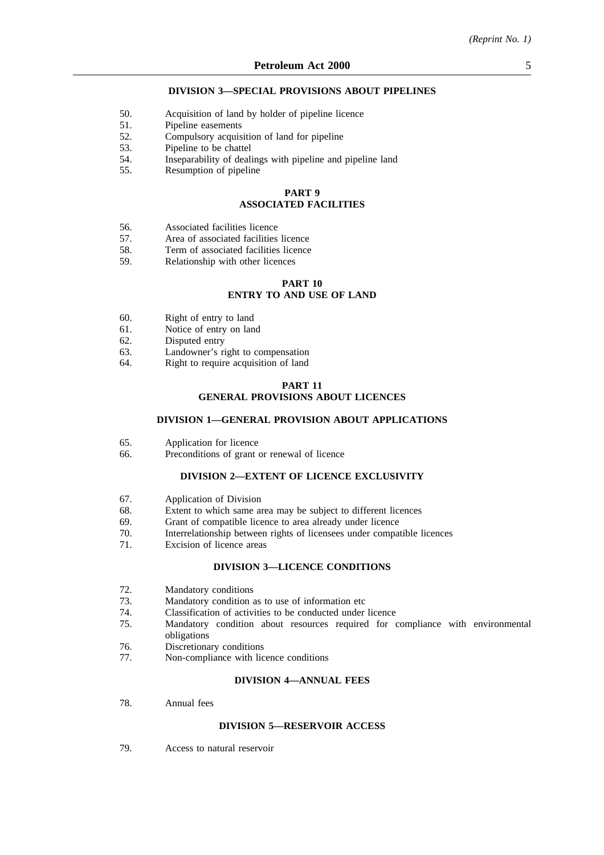#### **DIVISION 3—SPECIAL PROVISIONS ABOUT PIPELINES**

- 50. Acquisition of land by holder of pipeline licence
- 51. Pipeline easements
- 52. Compulsory acquisition of land for pipeline
- 53. Pipeline to be chattel
- 54. Inseparability of dealings with pipeline and pipeline land
- 55. Resumption of pipeline

## **PART 9 ASSOCIATED FACILITIES**

- 56. Associated facilities licence
- 57. Area of associated facilities licence
- 58. Term of associated facilities licence<br>59. Relationship with other licences
- Relationship with other licences

## **PART 10 ENTRY TO AND USE OF LAND**

- 60. Right of entry to land
- 61. Notice of entry on land
- 62. Disputed entry<br>63. Landowner's ri
- 63. Landowner's right to compensation<br>64. Right to require acquisition of land
- Right to require acquisition of land

### **PART 11 GENERAL PROVISIONS ABOUT LICENCES**

#### **DIVISION 1—GENERAL PROVISION ABOUT APPLICATIONS**

- 65. Application for licence
- 66. Preconditions of grant or renewal of licence

## **DIVISION 2—EXTENT OF LICENCE EXCLUSIVITY**

- 67. Application of Division
- 68. Extent to which same area may be subject to different licences
- 69. Grant of compatible licence to area already under licence
- 70. Interrelationship between rights of licensees under compatible licences
- 71. Excision of licence areas

#### **DIVISION 3—LICENCE CONDITIONS**

- 72. Mandatory conditions
- 73. Mandatory condition as to use of information etc
- 74. Classification of activities to be conducted under licence
- 75. Mandatory condition about resources required for compliance with environmental obligations
- 76. Discretionary conditions
- 77. Non-compliance with licence conditions

#### **DIVISION 4—ANNUAL FEES**

78. Annual fees

#### **DIVISION 5—RESERVOIR ACCESS**

79. Access to natural reservoir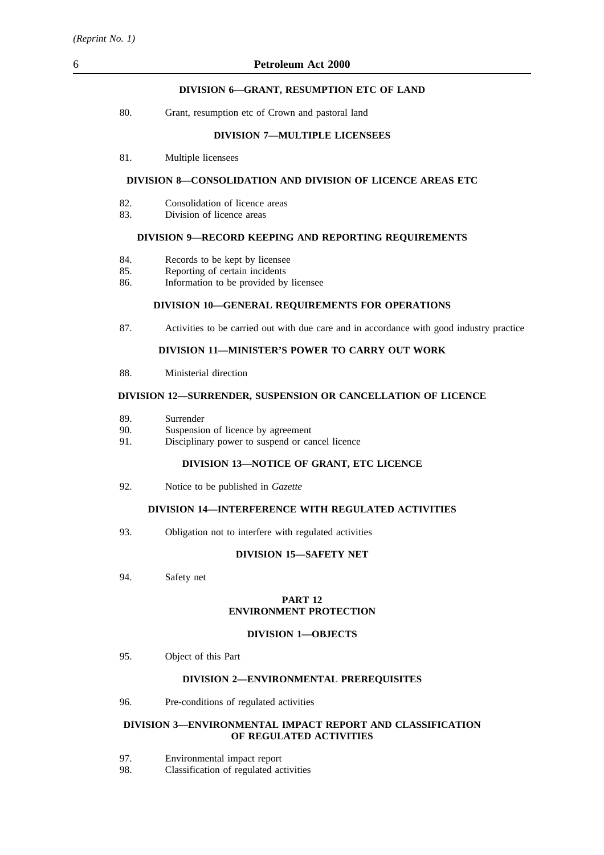## 6 **Petroleum Act 2000**

## **DIVISION 6—GRANT, RESUMPTION ETC OF LAND**

| 80. | Grant, resumption etc of Crown and pastoral land |  |  |  |
|-----|--------------------------------------------------|--|--|--|
|     |                                                  |  |  |  |

#### **DIVISION 7—MULTIPLE LICENSEES**

81. Multiple licensees

### **DIVISION 8—CONSOLIDATION AND DIVISION OF LICENCE AREAS ETC**

- 82. Consolidation of licence areas
- 83. Division of licence areas

#### **DIVISION 9—RECORD KEEPING AND REPORTING REQUIREMENTS**

- 84. Records to be kept by licensee
- 85. Reporting of certain incidents
- 86. Information to be provided by licensee

## **DIVISION 10—GENERAL REQUIREMENTS FOR OPERATIONS**

87. Activities to be carried out with due care and in accordance with good industry practice

## **DIVISION 11—MINISTER'S POWER TO CARRY OUT WORK**

88. Ministerial direction

#### **DIVISION 12—SURRENDER, SUSPENSION OR CANCELLATION OF LICENCE**

- 89. Surrender
- 90. Suspension of licence by agreement
- 91. Disciplinary power to suspend or cancel licence

### **DIVISION 13—NOTICE OF GRANT, ETC LICENCE**

92. Notice to be published in *Gazette*

## **DIVISION 14—INTERFERENCE WITH REGULATED ACTIVITIES**

93. Obligation not to interfere with regulated activities

## **DIVISION 15—SAFETY NET**

94. Safety net

### **PART 12 ENVIRONMENT PROTECTION**

#### **DIVISION 1—OBJECTS**

95. Object of this Part

### **DIVISION 2—ENVIRONMENTAL PREREQUISITES**

96. Pre-conditions of regulated activities

### **DIVISION 3—ENVIRONMENTAL IMPACT REPORT AND CLASSIFICATION OF REGULATED ACTIVITIES**

- 97. Environmental impact report
- 98. Classification of regulated activities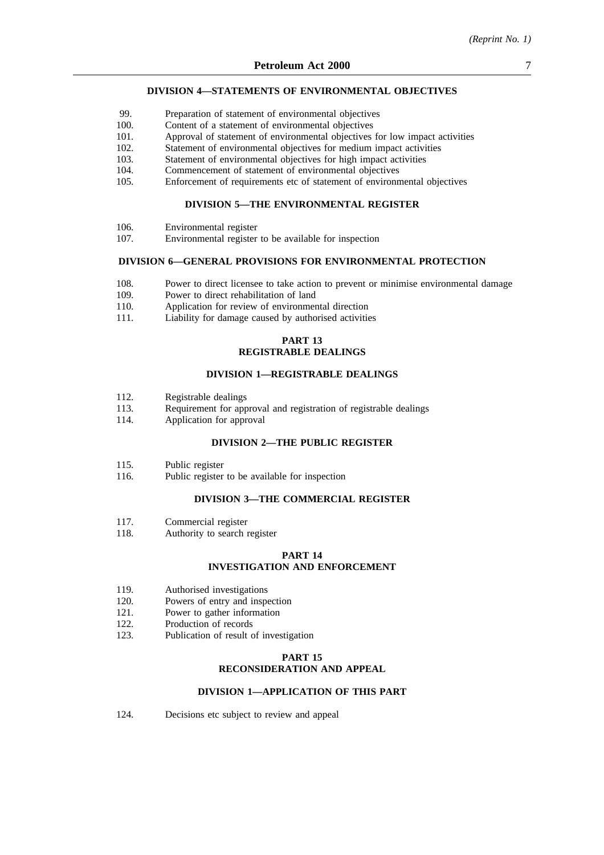#### **DIVISION 4—STATEMENTS OF ENVIRONMENTAL OBJECTIVES**

- 99. Preparation of statement of environmental objectives
- 100. Content of a statement of environmental objectives
- 101. Approval of statement of environmental objectives for low impact activities
- 102. Statement of environmental objectives for medium impact activities
- 103. Statement of environmental objectives for high impact activities
- 104. Commencement of statement of environmental objectives
- 105. Enforcement of requirements etc of statement of environmental objectives

## **DIVISION 5—THE ENVIRONMENTAL REGISTER**

- 106. Environmental register
- 107. Environmental register to be available for inspection

## **DIVISION 6—GENERAL PROVISIONS FOR ENVIRONMENTAL PROTECTION**

- 108. Power to direct licensee to take action to prevent or minimise environmental damage 109. Power to direct rehabilitation of land
- 109. Power to direct rehabilitation of land<br>110. Application for review of environment
- Application for review of environmental direction
- 111. Liability for damage caused by authorised activities

### **PART 13 REGISTRABLE DEALINGS**

#### **DIVISION 1—REGISTRABLE DEALINGS**

- 112. Registrable dealings
- 113. Requirement for approval and registration of registrable dealings
- 114. Application for approval

## **DIVISION 2—THE PUBLIC REGISTER**

- 115. Public register
- 116. Public register to be available for inspection

### **DIVISION 3—THE COMMERCIAL REGISTER**

- 117. Commercial register
- 118. Authority to search register

#### **PART 14 INVESTIGATION AND ENFORCEMENT**

- 119. Authorised investigations
- 120. Powers of entry and inspection
- 121. Power to gather information
- 122. Production of records
- 123. Publication of result of investigation

### **PART 15 RECONSIDERATION AND APPEAL**

#### **DIVISION 1—APPLICATION OF THIS PART**

124. Decisions etc subject to review and appeal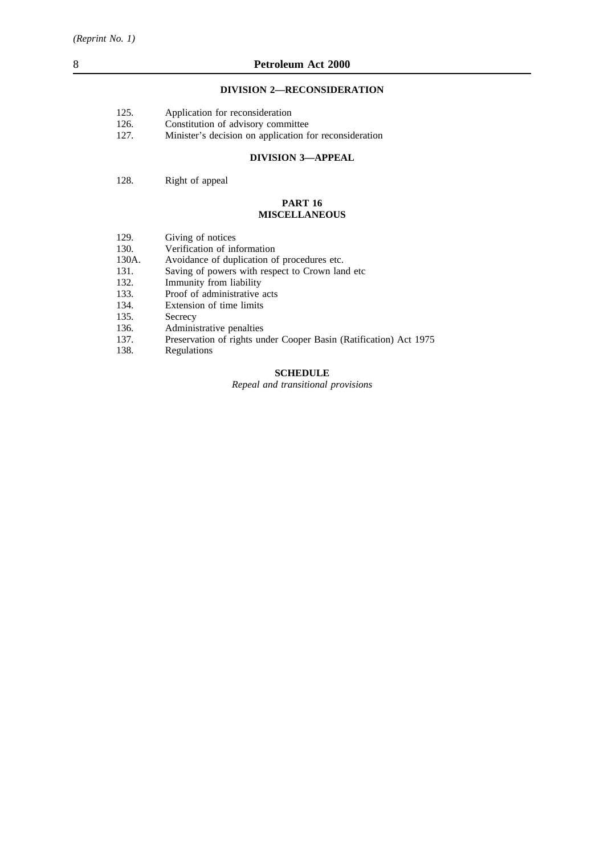## **DIVISION 2—RECONSIDERATION**

| 125. |  | Application for reconsideration |
|------|--|---------------------------------|
|      |  |                                 |

- 126. Constitution of advisory committee<br>127. Minister's decision on application f
- Minister's decision on application for reconsideration

## **DIVISION 3—APPEAL**

### 128. Right of appeal

### **PART 16 MISCELLANEOUS**

| 129. | Giving of notices                                                                                              |
|------|----------------------------------------------------------------------------------------------------------------|
| 120  | verste van de voorbeeld van de voorbeeld van de voorbeeld van de voorbeeld van de voorbeeld van de voorbeeld v |

- 130. Verification of information
- 130A. Avoidance of duplication of procedures etc.
- 131. Saving of powers with respect to Crown land etc 132. Immunity from liability
- 132. Immunity from liability<br>133. Proof of administrative
- 133. Proof of administrative acts<br>134. Extension of time limits
- 134. Extension of time limits<br>135. Secrecy
- 135. Secrecy<br>136. Adminis
- 136. Administrative penalties<br>137. Preservation of rights un
- Preservation of rights under Cooper Basin (Ratification) Act 1975
- 138. Regulations

## **SCHEDULE**

*Repeal and transitional provisions*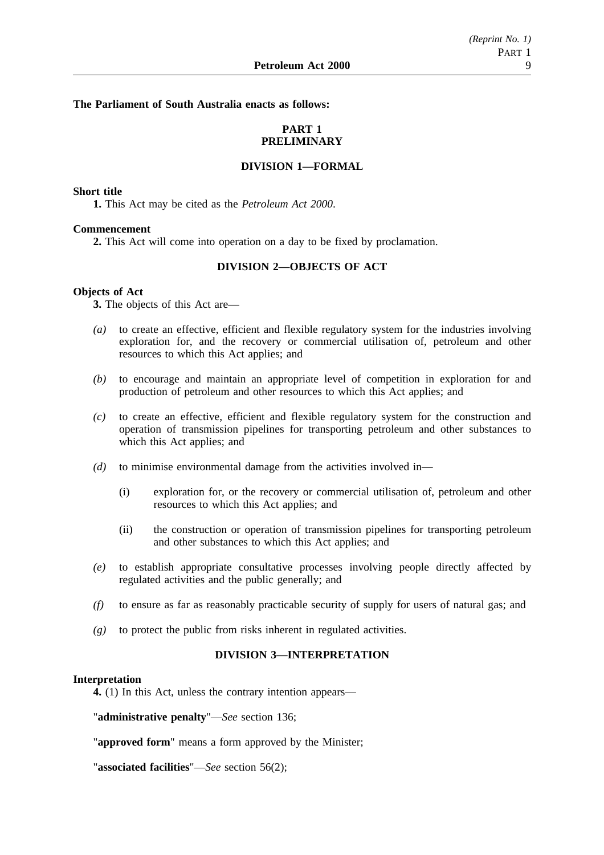**The Parliament of South Australia enacts as follows:**

## **PART 1 PRELIMINARY**

## **DIVISION 1—FORMAL**

## **Short title**

**1.** This Act may be cited as the *Petroleum Act 2000*.

### **Commencement**

**2.** This Act will come into operation on a day to be fixed by proclamation.

## **DIVISION 2—OBJECTS OF ACT**

### **Objects of Act**

**3.** The objects of this Act are—

- *(a)* to create an effective, efficient and flexible regulatory system for the industries involving exploration for, and the recovery or commercial utilisation of, petroleum and other resources to which this Act applies; and
- *(b)* to encourage and maintain an appropriate level of competition in exploration for and production of petroleum and other resources to which this Act applies; and
- *(c)* to create an effective, efficient and flexible regulatory system for the construction and operation of transmission pipelines for transporting petroleum and other substances to which this Act applies; and
- *(d)* to minimise environmental damage from the activities involved in—
	- (i) exploration for, or the recovery or commercial utilisation of, petroleum and other resources to which this Act applies; and
	- (ii) the construction or operation of transmission pipelines for transporting petroleum and other substances to which this Act applies; and
- *(e)* to establish appropriate consultative processes involving people directly affected by regulated activities and the public generally; and
- *(f)* to ensure as far as reasonably practicable security of supply for users of natural gas; and
- *(g)* to protect the public from risks inherent in regulated activities.

## **DIVISION 3—INTERPRETATION**

#### **Interpretation**

**4.** (1) In this Act, unless the contrary intention appears—

"**administrative penalty**"—*See* section 136;

"**approved form**" means a form approved by the Minister;

"**associated facilities**"—*See* section 56(2);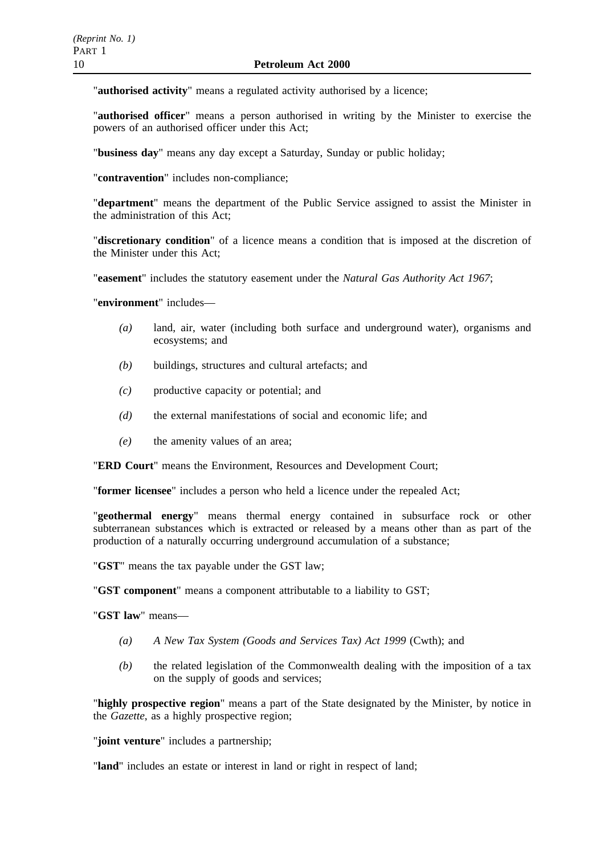"**authorised activity**" means a regulated activity authorised by a licence;

"**authorised officer**" means a person authorised in writing by the Minister to exercise the powers of an authorised officer under this Act;

"**business day**" means any day except a Saturday, Sunday or public holiday;

"**contravention**" includes non-compliance;

"**department**" means the department of the Public Service assigned to assist the Minister in the administration of this Act;

"**discretionary condition**" of a licence means a condition that is imposed at the discretion of the Minister under this Act;

"**easement**" includes the statutory easement under the *Natural Gas Authority Act 1967*;

"**environment**" includes—

- *(a)* land, air, water (including both surface and underground water), organisms and ecosystems; and
- *(b)* buildings, structures and cultural artefacts; and
- *(c)* productive capacity or potential; and
- *(d)* the external manifestations of social and economic life; and
- *(e)* the amenity values of an area;

"**ERD Court**" means the Environment, Resources and Development Court;

"**former licensee**" includes a person who held a licence under the repealed Act;

"**geothermal energy**" means thermal energy contained in subsurface rock or other subterranean substances which is extracted or released by a means other than as part of the production of a naturally occurring underground accumulation of a substance;

"**GST**" means the tax payable under the GST law;

"**GST component**" means a component attributable to a liability to GST;

"**GST law**" means—

- *(a) A New Tax System (Goods and Services Tax) Act 1999* (Cwth); and
- *(b)* the related legislation of the Commonwealth dealing with the imposition of a tax on the supply of goods and services;

"**highly prospective region**" means a part of the State designated by the Minister, by notice in the *Gazette*, as a highly prospective region;

"**joint venture**" includes a partnership;

"**land**" includes an estate or interest in land or right in respect of land;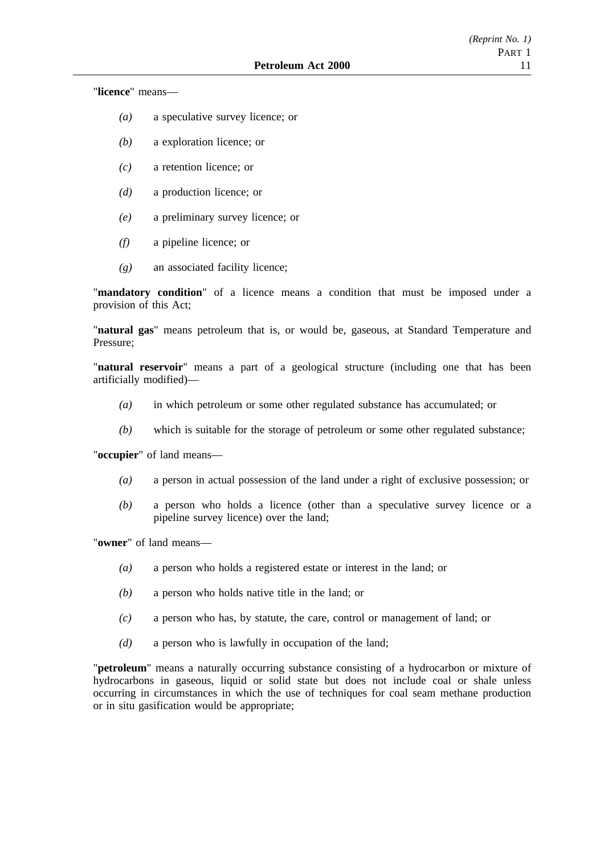"**licence**" means—

- *(a)* a speculative survey licence; or
- *(b)* a exploration licence; or
- *(c)* a retention licence; or
- *(d)* a production licence; or
- *(e)* a preliminary survey licence; or
- *(f)* a pipeline licence; or
- *(g)* an associated facility licence;

"**mandatory condition**" of a licence means a condition that must be imposed under a provision of this Act;

"**natural gas**" means petroleum that is, or would be, gaseous, at Standard Temperature and Pressure;

"**natural reservoir**" means a part of a geological structure (including one that has been artificially modified)—

- *(a)* in which petroleum or some other regulated substance has accumulated; or
- *(b)* which is suitable for the storage of petroleum or some other regulated substance;

"**occupier**" of land means—

- *(a)* a person in actual possession of the land under a right of exclusive possession; or
- *(b)* a person who holds a licence (other than a speculative survey licence or a pipeline survey licence) over the land;

"**owner**" of land means—

- *(a)* a person who holds a registered estate or interest in the land; or
- *(b)* a person who holds native title in the land; or
- *(c)* a person who has, by statute, the care, control or management of land; or
- *(d)* a person who is lawfully in occupation of the land;

"**petroleum**" means a naturally occurring substance consisting of a hydrocarbon or mixture of hydrocarbons in gaseous, liquid or solid state but does not include coal or shale unless occurring in circumstances in which the use of techniques for coal seam methane production or in situ gasification would be appropriate;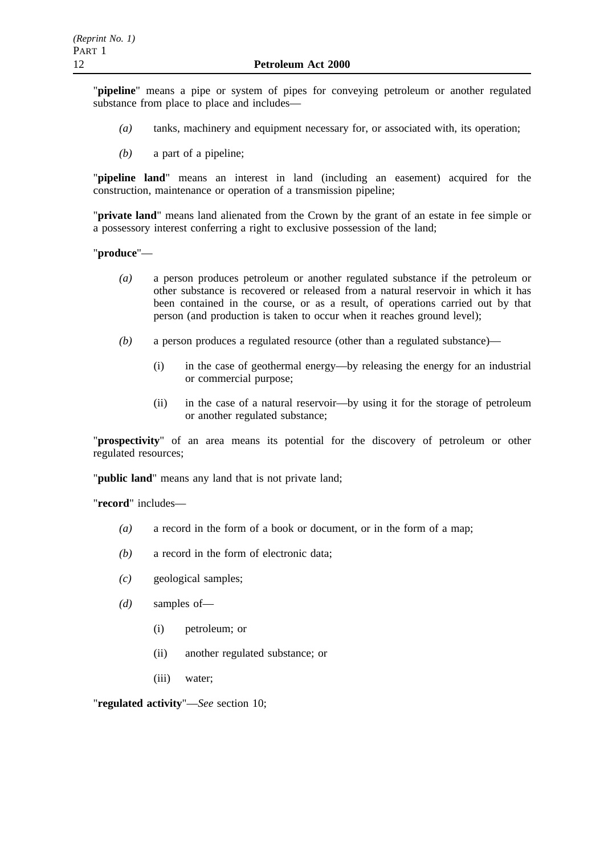"**pipeline**" means a pipe or system of pipes for conveying petroleum or another regulated substance from place to place and includes—

- *(a)* tanks, machinery and equipment necessary for, or associated with, its operation;
- *(b)* a part of a pipeline;

"**pipeline land**" means an interest in land (including an easement) acquired for the construction, maintenance or operation of a transmission pipeline;

"**private land**" means land alienated from the Crown by the grant of an estate in fee simple or a possessory interest conferring a right to exclusive possession of the land;

"**produce**"—

- *(a)* a person produces petroleum or another regulated substance if the petroleum or other substance is recovered or released from a natural reservoir in which it has been contained in the course, or as a result, of operations carried out by that person (and production is taken to occur when it reaches ground level);
- *(b)* a person produces a regulated resource (other than a regulated substance)—
	- (i) in the case of geothermal energy—by releasing the energy for an industrial or commercial purpose;
	- (ii) in the case of a natural reservoir—by using it for the storage of petroleum or another regulated substance;

"**prospectivity**" of an area means its potential for the discovery of petroleum or other regulated resources;

"**public land**" means any land that is not private land;

"**record**" includes—

- *(a)* a record in the form of a book or document, or in the form of a map;
- *(b)* a record in the form of electronic data;
- *(c)* geological samples;
- *(d)* samples of—
	- (i) petroleum; or
	- (ii) another regulated substance; or
	- (iii) water;

"**regulated activity**"—*See* section 10;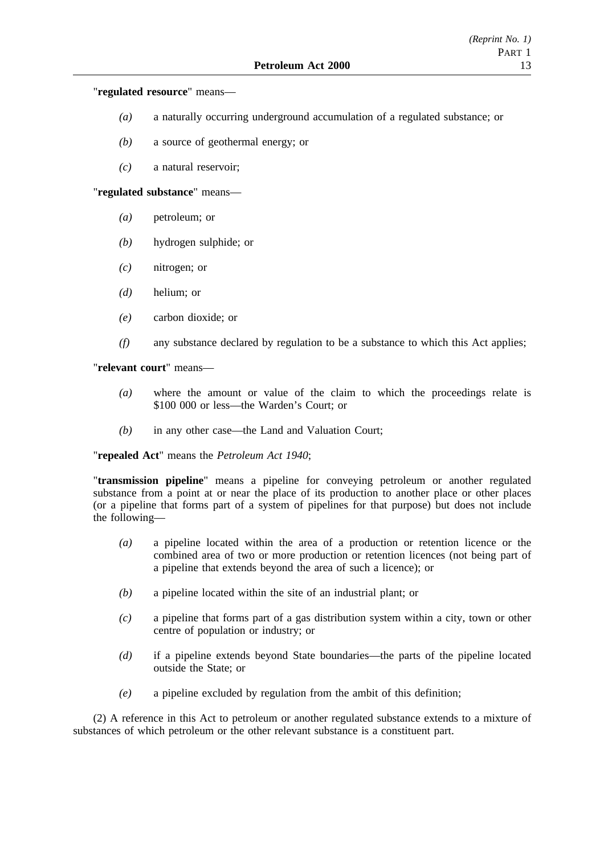"**regulated resource**" means—

- *(a)* a naturally occurring underground accumulation of a regulated substance; or
- *(b)* a source of geothermal energy; or
- *(c)* a natural reservoir;

"**regulated substance**" means—

- *(a)* petroleum; or
- *(b)* hydrogen sulphide; or
- *(c)* nitrogen; or
- *(d)* helium; or
- *(e)* carbon dioxide; or
- *(f)* any substance declared by regulation to be a substance to which this Act applies;

"**relevant court**" means—

- *(a)* where the amount or value of the claim to which the proceedings relate is \$100 000 or less—the Warden's Court; or
- *(b)* in any other case—the Land and Valuation Court;

"**repealed Act**" means the *Petroleum Act 1940*;

"**transmission pipeline**" means a pipeline for conveying petroleum or another regulated substance from a point at or near the place of its production to another place or other places (or a pipeline that forms part of a system of pipelines for that purpose) but does not include the following—

- *(a)* a pipeline located within the area of a production or retention licence or the combined area of two or more production or retention licences (not being part of a pipeline that extends beyond the area of such a licence); or
- *(b)* a pipeline located within the site of an industrial plant; or
- *(c)* a pipeline that forms part of a gas distribution system within a city, town or other centre of population or industry; or
- *(d)* if a pipeline extends beyond State boundaries—the parts of the pipeline located outside the State; or
- *(e)* a pipeline excluded by regulation from the ambit of this definition;

(2) A reference in this Act to petroleum or another regulated substance extends to a mixture of substances of which petroleum or the other relevant substance is a constituent part.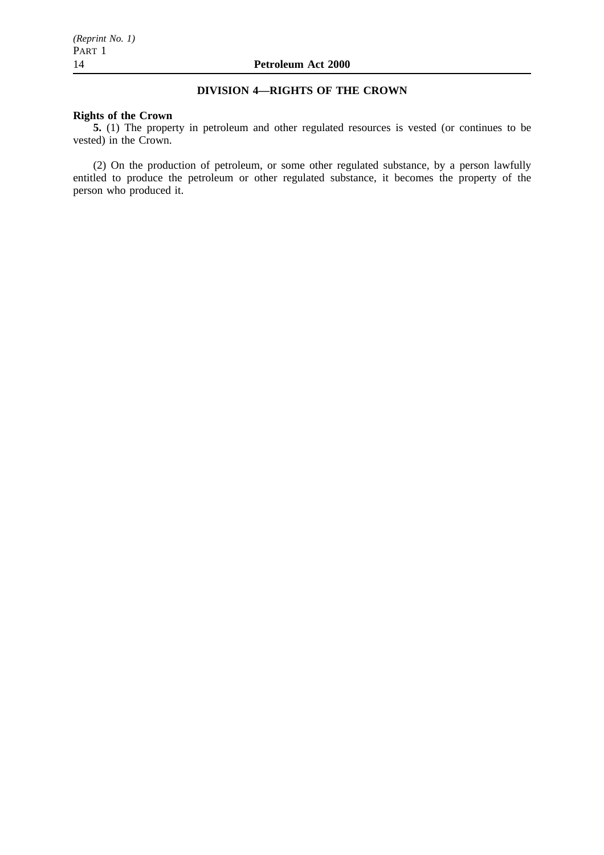## **DIVISION 4—RIGHTS OF THE CROWN**

## **Rights of the Crown**

**5.** (1) The property in petroleum and other regulated resources is vested (or continues to be vested) in the Crown.

(2) On the production of petroleum, or some other regulated substance, by a person lawfully entitled to produce the petroleum or other regulated substance, it becomes the property of the person who produced it.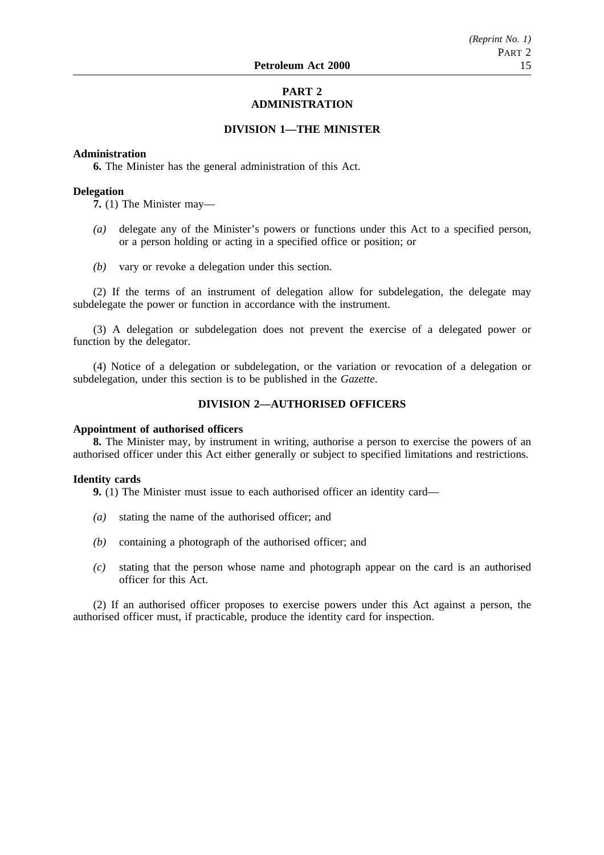## **PART 2 ADMINISTRATION**

## **DIVISION 1—THE MINISTER**

### **Administration**

**6.** The Minister has the general administration of this Act.

### **Delegation**

**7.** (1) The Minister may—

- *(a)* delegate any of the Minister's powers or functions under this Act to a specified person, or a person holding or acting in a specified office or position; or
- *(b)* vary or revoke a delegation under this section.

(2) If the terms of an instrument of delegation allow for subdelegation, the delegate may subdelegate the power or function in accordance with the instrument.

(3) A delegation or subdelegation does not prevent the exercise of a delegated power or function by the delegator.

(4) Notice of a delegation or subdelegation, or the variation or revocation of a delegation or subdelegation, under this section is to be published in the *Gazette*.

## **DIVISION 2—AUTHORISED OFFICERS**

#### **Appointment of authorised officers**

**8.** The Minister may, by instrument in writing, authorise a person to exercise the powers of an authorised officer under this Act either generally or subject to specified limitations and restrictions.

#### **Identity cards**

**9.** (1) The Minister must issue to each authorised officer an identity card—

- *(a)* stating the name of the authorised officer; and
- *(b)* containing a photograph of the authorised officer; and
- *(c)* stating that the person whose name and photograph appear on the card is an authorised officer for this Act.

(2) If an authorised officer proposes to exercise powers under this Act against a person, the authorised officer must, if practicable, produce the identity card for inspection.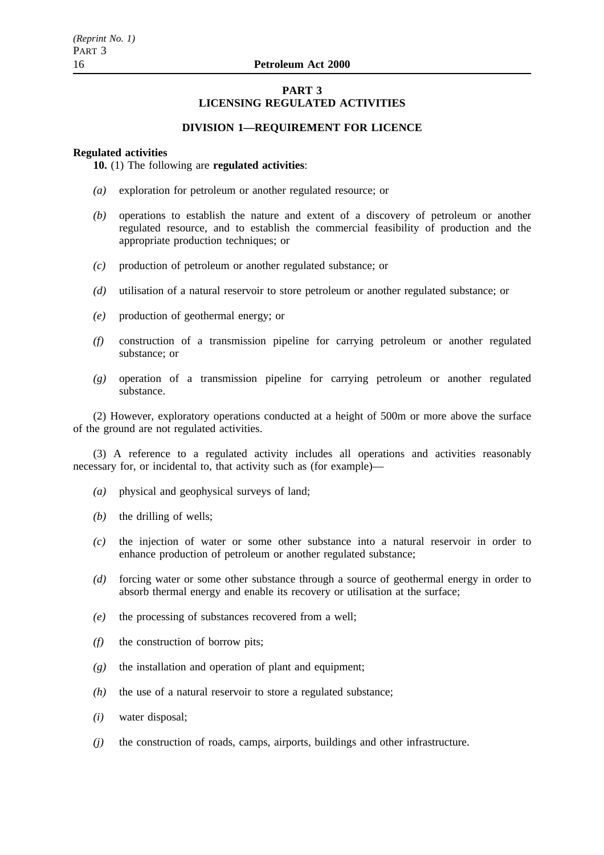## **PART 3 LICENSING REGULATED ACTIVITIES**

### **DIVISION 1—REQUIREMENT FOR LICENCE**

#### **Regulated activities**

**10.** (1) The following are **regulated activities**:

- *(a)* exploration for petroleum or another regulated resource; or
- *(b)* operations to establish the nature and extent of a discovery of petroleum or another regulated resource, and to establish the commercial feasibility of production and the appropriate production techniques; or
- *(c)* production of petroleum or another regulated substance; or
- *(d)* utilisation of a natural reservoir to store petroleum or another regulated substance; or
- *(e)* production of geothermal energy; or
- *(f)* construction of a transmission pipeline for carrying petroleum or another regulated substance; or
- *(g)* operation of a transmission pipeline for carrying petroleum or another regulated substance.

(2) However, exploratory operations conducted at a height of 500m or more above the surface of the ground are not regulated activities.

(3) A reference to a regulated activity includes all operations and activities reasonably necessary for, or incidental to, that activity such as (for example)—

- *(a)* physical and geophysical surveys of land;
- *(b)* the drilling of wells;
- *(c)* the injection of water or some other substance into a natural reservoir in order to enhance production of petroleum or another regulated substance;
- *(d)* forcing water or some other substance through a source of geothermal energy in order to absorb thermal energy and enable its recovery or utilisation at the surface;
- *(e)* the processing of substances recovered from a well;
- *(f)* the construction of borrow pits;
- *(g)* the installation and operation of plant and equipment;
- *(h)* the use of a natural reservoir to store a regulated substance;
- *(i)* water disposal;
- *(j)* the construction of roads, camps, airports, buildings and other infrastructure.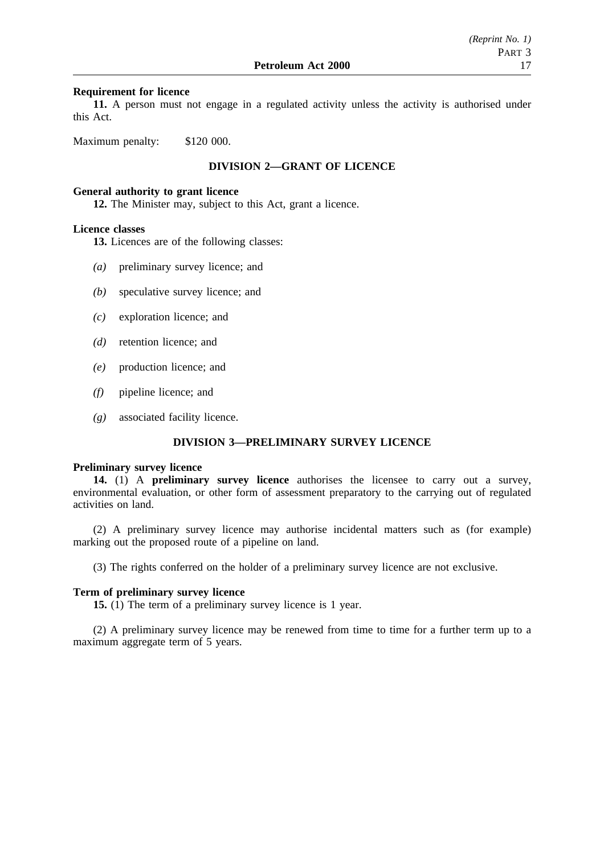### **Requirement for licence**

**11.** A person must not engage in a regulated activity unless the activity is authorised under this Act.

Maximum penalty: \$120 000.

## **DIVISION 2—GRANT OF LICENCE**

## **General authority to grant licence**

**12.** The Minister may, subject to this Act, grant a licence.

### **Licence classes**

- **13.** Licences are of the following classes:
- *(a)* preliminary survey licence; and
- *(b)* speculative survey licence; and
- *(c)* exploration licence; and
- *(d)* retention licence; and
- *(e)* production licence; and
- *(f)* pipeline licence; and
- *(g)* associated facility licence.

## **DIVISION 3—PRELIMINARY SURVEY LICENCE**

#### **Preliminary survey licence**

**14.** (1) A **preliminary survey licence** authorises the licensee to carry out a survey, environmental evaluation, or other form of assessment preparatory to the carrying out of regulated activities on land.

(2) A preliminary survey licence may authorise incidental matters such as (for example) marking out the proposed route of a pipeline on land.

(3) The rights conferred on the holder of a preliminary survey licence are not exclusive.

#### **Term of preliminary survey licence**

**15.** (1) The term of a preliminary survey licence is 1 year.

(2) A preliminary survey licence may be renewed from time to time for a further term up to a maximum aggregate term of 5 years.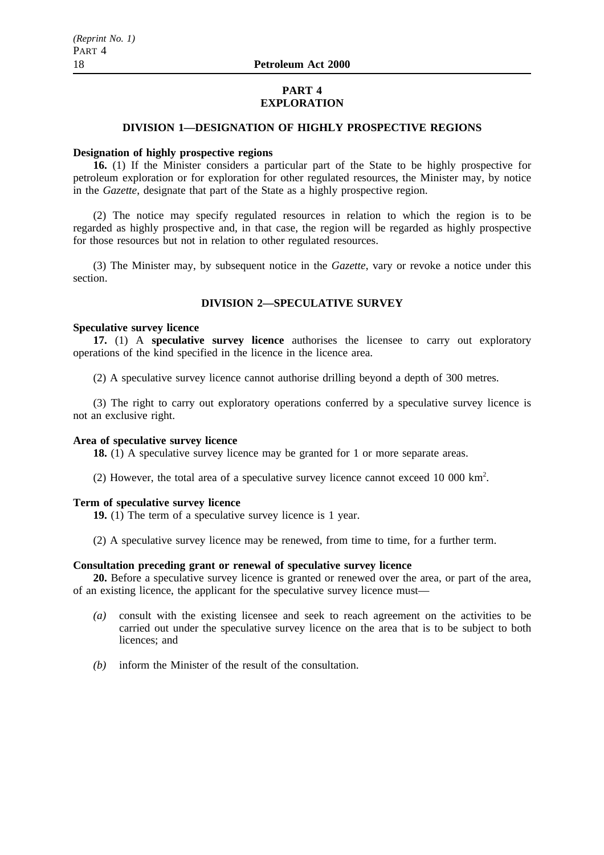## **PART 4 EXPLORATION**

## **DIVISION 1—DESIGNATION OF HIGHLY PROSPECTIVE REGIONS**

#### **Designation of highly prospective regions**

**16.** (1) If the Minister considers a particular part of the State to be highly prospective for petroleum exploration or for exploration for other regulated resources, the Minister may, by notice in the *Gazette*, designate that part of the State as a highly prospective region.

(2) The notice may specify regulated resources in relation to which the region is to be regarded as highly prospective and, in that case, the region will be regarded as highly prospective for those resources but not in relation to other regulated resources.

(3) The Minister may, by subsequent notice in the *Gazette*, vary or revoke a notice under this section.

## **DIVISION 2—SPECULATIVE SURVEY**

## **Speculative survey licence**

**17.** (1) A **speculative survey licence** authorises the licensee to carry out exploratory operations of the kind specified in the licence in the licence area.

(2) A speculative survey licence cannot authorise drilling beyond a depth of 300 metres.

(3) The right to carry out exploratory operations conferred by a speculative survey licence is not an exclusive right.

## **Area of speculative survey licence**

**18.** (1) A speculative survey licence may be granted for 1 or more separate areas.

(2) However, the total area of a speculative survey licence cannot exceed 10 000  $\text{km}^2$ .

### **Term of speculative survey licence**

**19.** (1) The term of a speculative survey licence is 1 year.

(2) A speculative survey licence may be renewed, from time to time, for a further term.

## **Consultation preceding grant or renewal of speculative survey licence**

**20.** Before a speculative survey licence is granted or renewed over the area, or part of the area, of an existing licence, the applicant for the speculative survey licence must—

- *(a)* consult with the existing licensee and seek to reach agreement on the activities to be carried out under the speculative survey licence on the area that is to be subject to both licences; and
- *(b)* inform the Minister of the result of the consultation.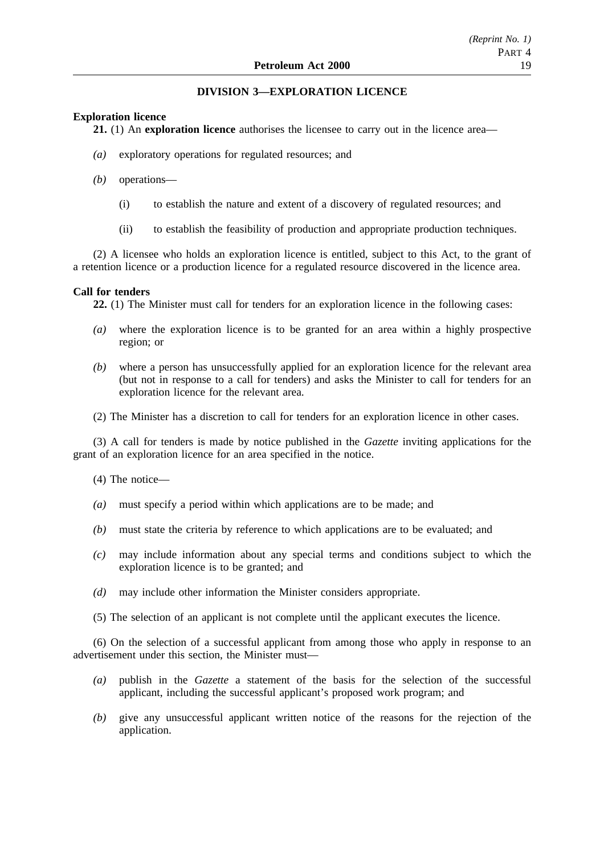## **DIVISION 3—EXPLORATION LICENCE**

## **Exploration licence**

**21.** (1) An **exploration licence** authorises the licensee to carry out in the licence area—

- *(a)* exploratory operations for regulated resources; and
- *(b)* operations—
	- (i) to establish the nature and extent of a discovery of regulated resources; and
	- (ii) to establish the feasibility of production and appropriate production techniques.

(2) A licensee who holds an exploration licence is entitled, subject to this Act, to the grant of a retention licence or a production licence for a regulated resource discovered in the licence area.

## **Call for tenders**

**22.** (1) The Minister must call for tenders for an exploration licence in the following cases:

- *(a)* where the exploration licence is to be granted for an area within a highly prospective region; or
- *(b)* where a person has unsuccessfully applied for an exploration licence for the relevant area (but not in response to a call for tenders) and asks the Minister to call for tenders for an exploration licence for the relevant area.
- (2) The Minister has a discretion to call for tenders for an exploration licence in other cases.

(3) A call for tenders is made by notice published in the *Gazette* inviting applications for the grant of an exploration licence for an area specified in the notice.

- (4) The notice—
- *(a)* must specify a period within which applications are to be made; and
- *(b)* must state the criteria by reference to which applications are to be evaluated; and
- *(c)* may include information about any special terms and conditions subject to which the exploration licence is to be granted; and
- *(d)* may include other information the Minister considers appropriate.
- (5) The selection of an applicant is not complete until the applicant executes the licence.

(6) On the selection of a successful applicant from among those who apply in response to an advertisement under this section, the Minister must—

- *(a)* publish in the *Gazette* a statement of the basis for the selection of the successful applicant, including the successful applicant's proposed work program; and
- *(b)* give any unsuccessful applicant written notice of the reasons for the rejection of the application.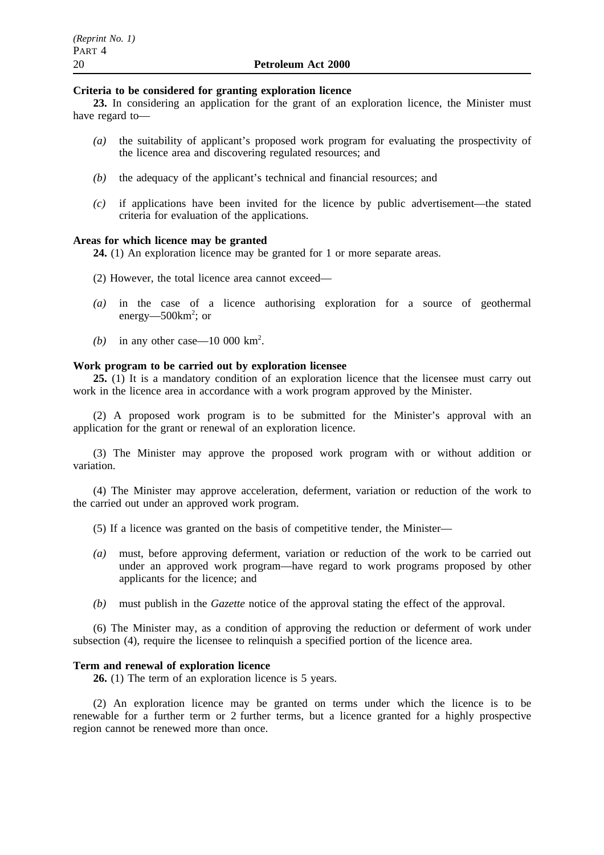#### **Criteria to be considered for granting exploration licence**

**23.** In considering an application for the grant of an exploration licence, the Minister must have regard to—

- *(a)* the suitability of applicant's proposed work program for evaluating the prospectivity of the licence area and discovering regulated resources; and
- *(b)* the adequacy of the applicant's technical and financial resources; and
- *(c)* if applications have been invited for the licence by public advertisement—the stated criteria for evaluation of the applications.

## **Areas for which licence may be granted**

**24.** (1) An exploration licence may be granted for 1 or more separate areas.

- (2) However, the total licence area cannot exceed—
- *(a)* in the case of a licence authorising exploration for a source of geothermal energy—500km<sup>2</sup>; or
- (b) in any other case—10 000 km<sup>2</sup>.

### **Work program to be carried out by exploration licensee**

**25.** (1) It is a mandatory condition of an exploration licence that the licensee must carry out work in the licence area in accordance with a work program approved by the Minister.

(2) A proposed work program is to be submitted for the Minister's approval with an application for the grant or renewal of an exploration licence.

(3) The Minister may approve the proposed work program with or without addition or variation.

(4) The Minister may approve acceleration, deferment, variation or reduction of the work to the carried out under an approved work program.

- (5) If a licence was granted on the basis of competitive tender, the Minister—
- *(a)* must, before approving deferment, variation or reduction of the work to be carried out under an approved work program—have regard to work programs proposed by other applicants for the licence; and
- *(b)* must publish in the *Gazette* notice of the approval stating the effect of the approval.

(6) The Minister may, as a condition of approving the reduction or deferment of work under subsection (4), require the licensee to relinquish a specified portion of the licence area.

## **Term and renewal of exploration licence**

**26.** (1) The term of an exploration licence is 5 years.

(2) An exploration licence may be granted on terms under which the licence is to be renewable for a further term or 2 further terms, but a licence granted for a highly prospective region cannot be renewed more than once.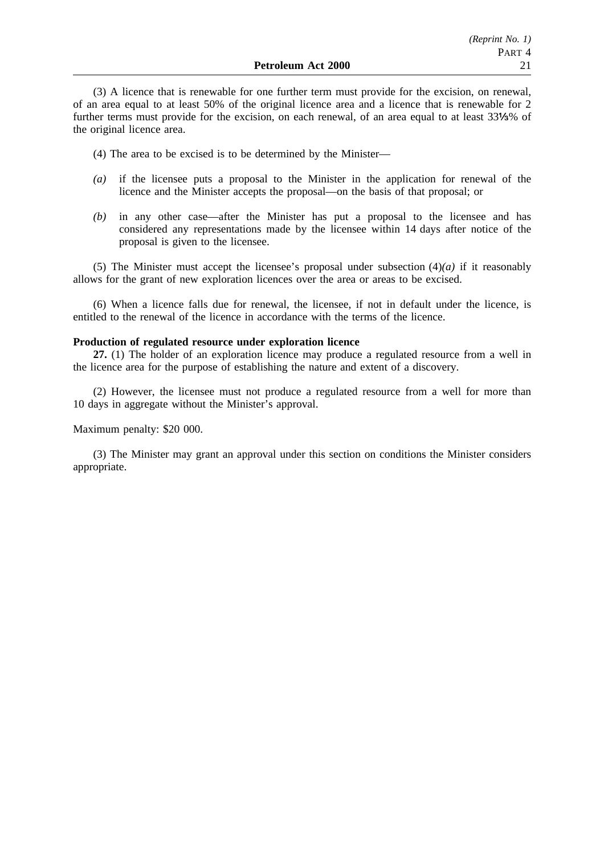(3) A licence that is renewable for one further term must provide for the excision, on renewal, of an area equal to at least 50% of the original licence area and a licence that is renewable for 2 further terms must provide for the excision, on each renewal, of an area equal to at least 33% % of the original licence area.

(4) The area to be excised is to be determined by the Minister—

- *(a)* if the licensee puts a proposal to the Minister in the application for renewal of the licence and the Minister accepts the proposal—on the basis of that proposal; or
- *(b)* in any other case—after the Minister has put a proposal to the licensee and has considered any representations made by the licensee within 14 days after notice of the proposal is given to the licensee.

(5) The Minister must accept the licensee's proposal under subsection (4)*(a)* if it reasonably allows for the grant of new exploration licences over the area or areas to be excised.

(6) When a licence falls due for renewal, the licensee, if not in default under the licence, is entitled to the renewal of the licence in accordance with the terms of the licence.

## **Production of regulated resource under exploration licence**

**27.** (1) The holder of an exploration licence may produce a regulated resource from a well in the licence area for the purpose of establishing the nature and extent of a discovery.

(2) However, the licensee must not produce a regulated resource from a well for more than 10 days in aggregate without the Minister's approval.

## Maximum penalty: \$20 000.

(3) The Minister may grant an approval under this section on conditions the Minister considers appropriate.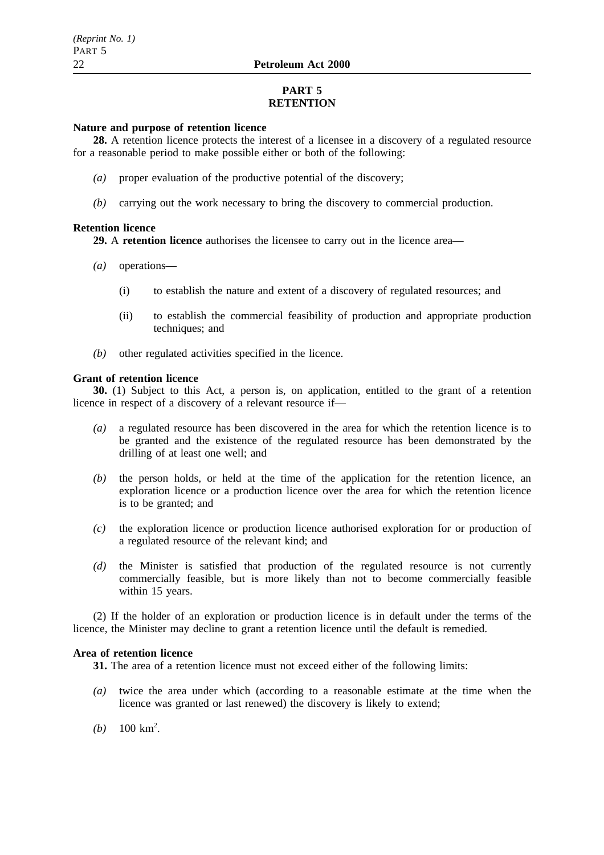## **PART 5 RETENTION**

## **Nature and purpose of retention licence**

**28.** A retention licence protects the interest of a licensee in a discovery of a regulated resource for a reasonable period to make possible either or both of the following:

- *(a)* proper evaluation of the productive potential of the discovery;
- *(b)* carrying out the work necessary to bring the discovery to commercial production.

## **Retention licence**

**29.** A **retention licence** authorises the licensee to carry out in the licence area—

- *(a)* operations—
	- (i) to establish the nature and extent of a discovery of regulated resources; and
	- (ii) to establish the commercial feasibility of production and appropriate production techniques; and
- *(b)* other regulated activities specified in the licence.

## **Grant of retention licence**

**30.** (1) Subject to this Act, a person is, on application, entitled to the grant of a retention licence in respect of a discovery of a relevant resource if—

- *(a)* a regulated resource has been discovered in the area for which the retention licence is to be granted and the existence of the regulated resource has been demonstrated by the drilling of at least one well; and
- *(b)* the person holds, or held at the time of the application for the retention licence, an exploration licence or a production licence over the area for which the retention licence is to be granted; and
- *(c)* the exploration licence or production licence authorised exploration for or production of a regulated resource of the relevant kind; and
- *(d)* the Minister is satisfied that production of the regulated resource is not currently commercially feasible, but is more likely than not to become commercially feasible within 15 years.

(2) If the holder of an exploration or production licence is in default under the terms of the licence, the Minister may decline to grant a retention licence until the default is remedied.

## **Area of retention licence**

**31.** The area of a retention licence must not exceed either of the following limits:

- *(a)* twice the area under which (according to a reasonable estimate at the time when the licence was granted or last renewed) the discovery is likely to extend;
- (*b*)  $100 \text{ km}^2$ .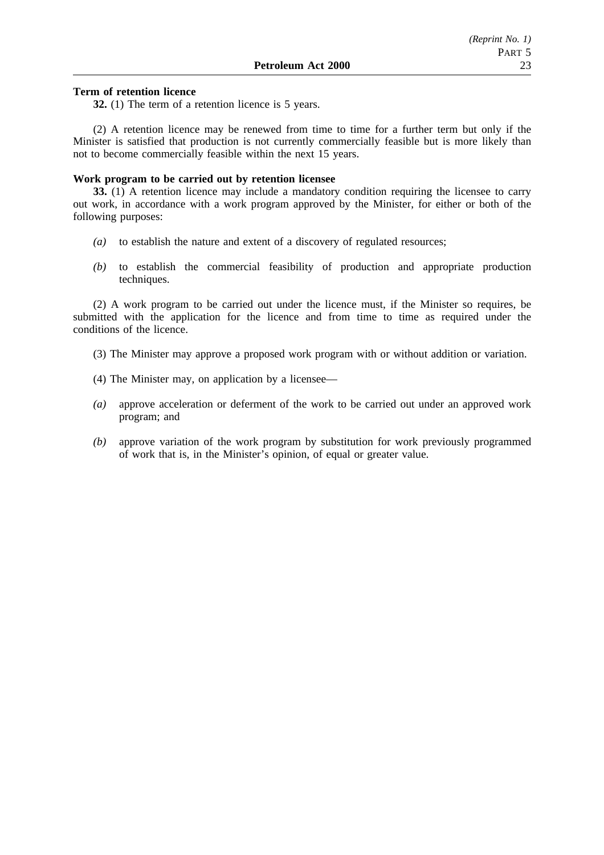## **Term of retention licence**

**32.** (1) The term of a retention licence is 5 years.

(2) A retention licence may be renewed from time to time for a further term but only if the Minister is satisfied that production is not currently commercially feasible but is more likely than not to become commercially feasible within the next 15 years.

### **Work program to be carried out by retention licensee**

**33.** (1) A retention licence may include a mandatory condition requiring the licensee to carry out work, in accordance with a work program approved by the Minister, for either or both of the following purposes:

- *(a)* to establish the nature and extent of a discovery of regulated resources;
- *(b)* to establish the commercial feasibility of production and appropriate production techniques.

(2) A work program to be carried out under the licence must, if the Minister so requires, be submitted with the application for the licence and from time to time as required under the conditions of the licence.

- (3) The Minister may approve a proposed work program with or without addition or variation.
- (4) The Minister may, on application by a licensee—
- *(a)* approve acceleration or deferment of the work to be carried out under an approved work program; and
- *(b)* approve variation of the work program by substitution for work previously programmed of work that is, in the Minister's opinion, of equal or greater value.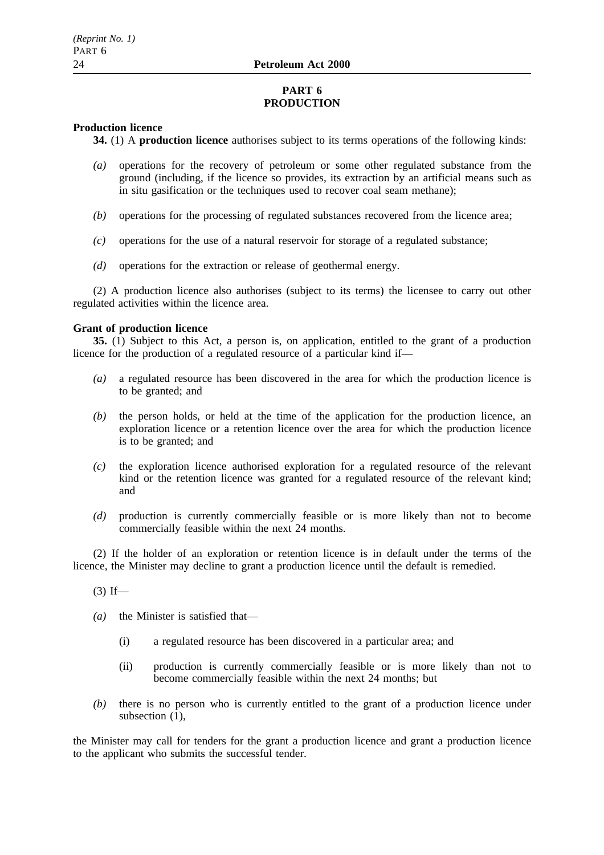## **PART 6 PRODUCTION**

## **Production licence**

**34.** (1) A **production licence** authorises subject to its terms operations of the following kinds:

- *(a)* operations for the recovery of petroleum or some other regulated substance from the ground (including, if the licence so provides, its extraction by an artificial means such as in situ gasification or the techniques used to recover coal seam methane);
- *(b)* operations for the processing of regulated substances recovered from the licence area;
- *(c)* operations for the use of a natural reservoir for storage of a regulated substance;
- *(d)* operations for the extraction or release of geothermal energy.

(2) A production licence also authorises (subject to its terms) the licensee to carry out other regulated activities within the licence area.

## **Grant of production licence**

**35.** (1) Subject to this Act, a person is, on application, entitled to the grant of a production licence for the production of a regulated resource of a particular kind if—

- *(a)* a regulated resource has been discovered in the area for which the production licence is to be granted; and
- *(b)* the person holds, or held at the time of the application for the production licence, an exploration licence or a retention licence over the area for which the production licence is to be granted; and
- *(c)* the exploration licence authorised exploration for a regulated resource of the relevant kind or the retention licence was granted for a regulated resource of the relevant kind; and
- *(d)* production is currently commercially feasible or is more likely than not to become commercially feasible within the next 24 months.

(2) If the holder of an exploration or retention licence is in default under the terms of the licence, the Minister may decline to grant a production licence until the default is remedied.

- $(3)$  If—
- *(a)* the Minister is satisfied that—
	- (i) a regulated resource has been discovered in a particular area; and
	- (ii) production is currently commercially feasible or is more likely than not to become commercially feasible within the next 24 months; but
- *(b)* there is no person who is currently entitled to the grant of a production licence under subsection (1),

the Minister may call for tenders for the grant a production licence and grant a production licence to the applicant who submits the successful tender.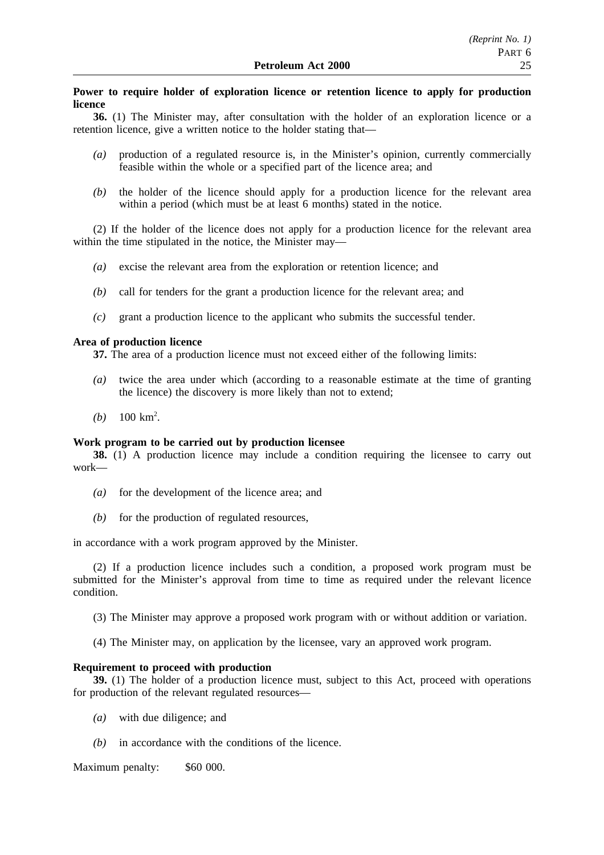## **Power to require holder of exploration licence or retention licence to apply for production licence**

**36.** (1) The Minister may, after consultation with the holder of an exploration licence or a retention licence, give a written notice to the holder stating that—

- *(a)* production of a regulated resource is, in the Minister's opinion, currently commercially feasible within the whole or a specified part of the licence area; and
- *(b)* the holder of the licence should apply for a production licence for the relevant area within a period (which must be at least 6 months) stated in the notice.

(2) If the holder of the licence does not apply for a production licence for the relevant area within the time stipulated in the notice, the Minister may—

- *(a)* excise the relevant area from the exploration or retention licence; and
- *(b)* call for tenders for the grant a production licence for the relevant area; and
- *(c)* grant a production licence to the applicant who submits the successful tender.

### **Area of production licence**

**37.** The area of a production licence must not exceed either of the following limits:

- *(a)* twice the area under which (according to a reasonable estimate at the time of granting the licence) the discovery is more likely than not to extend;
- (*b*)  $100 \text{ km}^2$ .

## **Work program to be carried out by production licensee**

**38.** (1) A production licence may include a condition requiring the licensee to carry out work—

- *(a)* for the development of the licence area; and
- *(b)* for the production of regulated resources,

in accordance with a work program approved by the Minister.

(2) If a production licence includes such a condition, a proposed work program must be submitted for the Minister's approval from time to time as required under the relevant licence condition.

(3) The Minister may approve a proposed work program with or without addition or variation.

(4) The Minister may, on application by the licensee, vary an approved work program.

### **Requirement to proceed with production**

**39.** (1) The holder of a production licence must, subject to this Act, proceed with operations for production of the relevant regulated resources—

- *(a)* with due diligence; and
- *(b)* in accordance with the conditions of the licence.

Maximum penalty: \$60 000.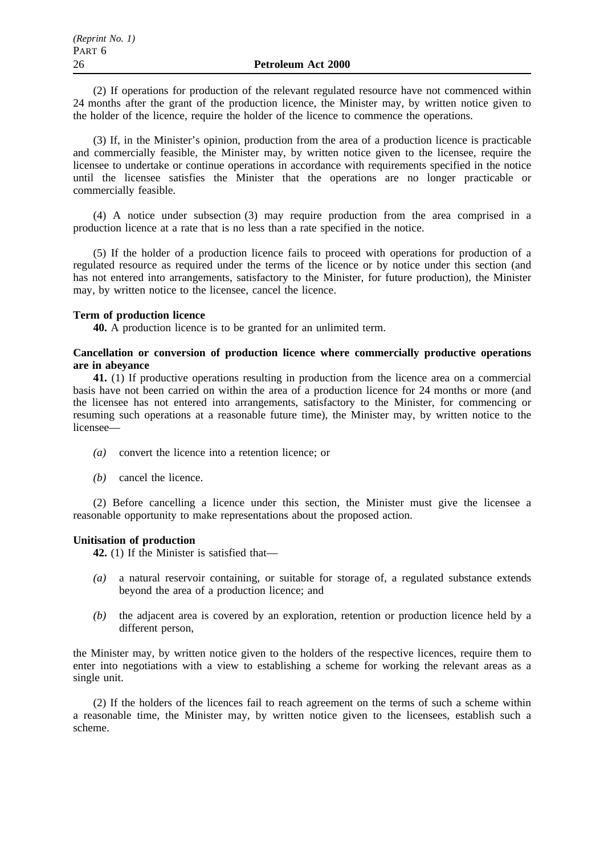(2) If operations for production of the relevant regulated resource have not commenced within 24 months after the grant of the production licence, the Minister may, by written notice given to the holder of the licence, require the holder of the licence to commence the operations.

(3) If, in the Minister's opinion, production from the area of a production licence is practicable and commercially feasible, the Minister may, by written notice given to the licensee, require the licensee to undertake or continue operations in accordance with requirements specified in the notice until the licensee satisfies the Minister that the operations are no longer practicable or commercially feasible.

(4) A notice under subsection (3) may require production from the area comprised in a production licence at a rate that is no less than a rate specified in the notice.

(5) If the holder of a production licence fails to proceed with operations for production of a regulated resource as required under the terms of the licence or by notice under this section (and has not entered into arrangements, satisfactory to the Minister, for future production), the Minister may, by written notice to the licensee, cancel the licence.

### **Term of production licence**

**40.** A production licence is to be granted for an unlimited term.

## **Cancellation or conversion of production licence where commercially productive operations are in abeyance**

**41.** (1) If productive operations resulting in production from the licence area on a commercial basis have not been carried on within the area of a production licence for 24 months or more (and the licensee has not entered into arrangements, satisfactory to the Minister, for commencing or resuming such operations at a reasonable future time), the Minister may, by written notice to the licensee—

- *(a)* convert the licence into a retention licence; or
- *(b)* cancel the licence.

(2) Before cancelling a licence under this section, the Minister must give the licensee a reasonable opportunity to make representations about the proposed action.

## **Unitisation of production**

**42.** (1) If the Minister is satisfied that—

- *(a)* a natural reservoir containing, or suitable for storage of, a regulated substance extends beyond the area of a production licence; and
- *(b)* the adjacent area is covered by an exploration, retention or production licence held by a different person,

the Minister may, by written notice given to the holders of the respective licences, require them to enter into negotiations with a view to establishing a scheme for working the relevant areas as a single unit.

(2) If the holders of the licences fail to reach agreement on the terms of such a scheme within a reasonable time, the Minister may, by written notice given to the licensees, establish such a scheme.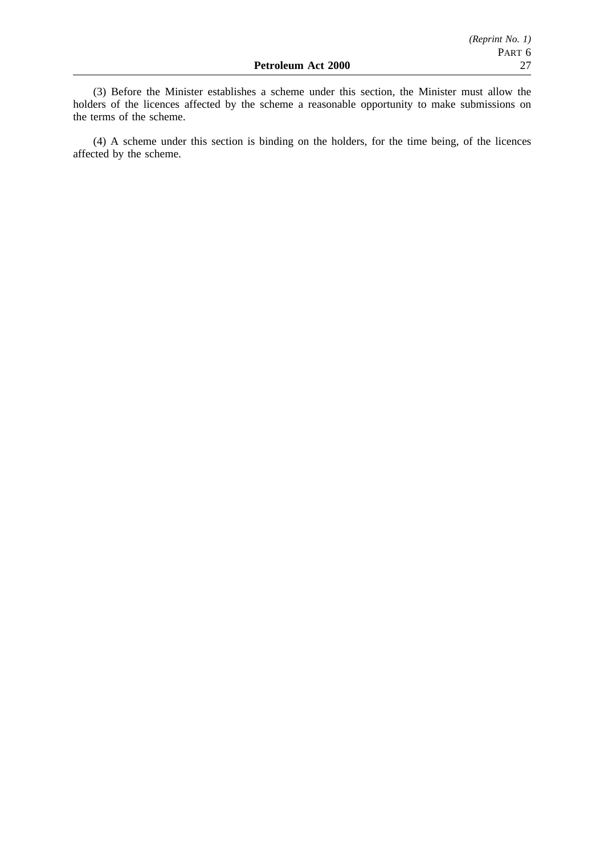(3) Before the Minister establishes a scheme under this section, the Minister must allow the holders of the licences affected by the scheme a reasonable opportunity to make submissions on the terms of the scheme.

(4) A scheme under this section is binding on the holders, for the time being, of the licences affected by the scheme.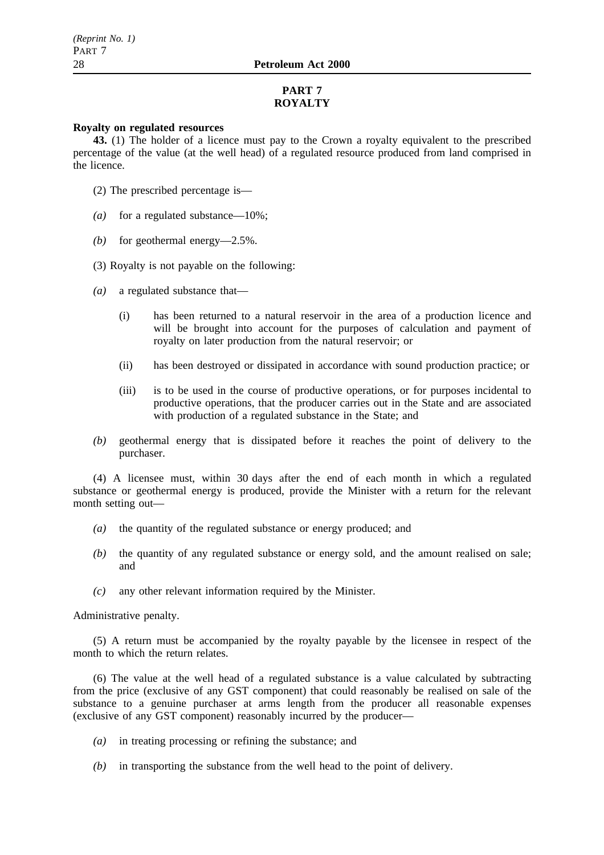## **PART 7 ROYALTY**

## **Royalty on regulated resources**

**43.** (1) The holder of a licence must pay to the Crown a royalty equivalent to the prescribed percentage of the value (at the well head) of a regulated resource produced from land comprised in the licence.

- (2) The prescribed percentage is—
- *(a)* for a regulated substance—10%;
- *(b)* for geothermal energy—2.5%.
- (3) Royalty is not payable on the following:
- *(a)* a regulated substance that—
	- (i) has been returned to a natural reservoir in the area of a production licence and will be brought into account for the purposes of calculation and payment of royalty on later production from the natural reservoir; or
	- (ii) has been destroyed or dissipated in accordance with sound production practice; or
	- (iii) is to be used in the course of productive operations, or for purposes incidental to productive operations, that the producer carries out in the State and are associated with production of a regulated substance in the State; and
- *(b)* geothermal energy that is dissipated before it reaches the point of delivery to the purchaser.

(4) A licensee must, within 30 days after the end of each month in which a regulated substance or geothermal energy is produced, provide the Minister with a return for the relevant month setting out—

- *(a)* the quantity of the regulated substance or energy produced; and
- *(b)* the quantity of any regulated substance or energy sold, and the amount realised on sale; and
- *(c)* any other relevant information required by the Minister.

Administrative penalty.

(5) A return must be accompanied by the royalty payable by the licensee in respect of the month to which the return relates

(6) The value at the well head of a regulated substance is a value calculated by subtracting from the price (exclusive of any GST component) that could reasonably be realised on sale of the substance to a genuine purchaser at arms length from the producer all reasonable expenses (exclusive of any GST component) reasonably incurred by the producer—

- *(a)* in treating processing or refining the substance; and
- *(b)* in transporting the substance from the well head to the point of delivery.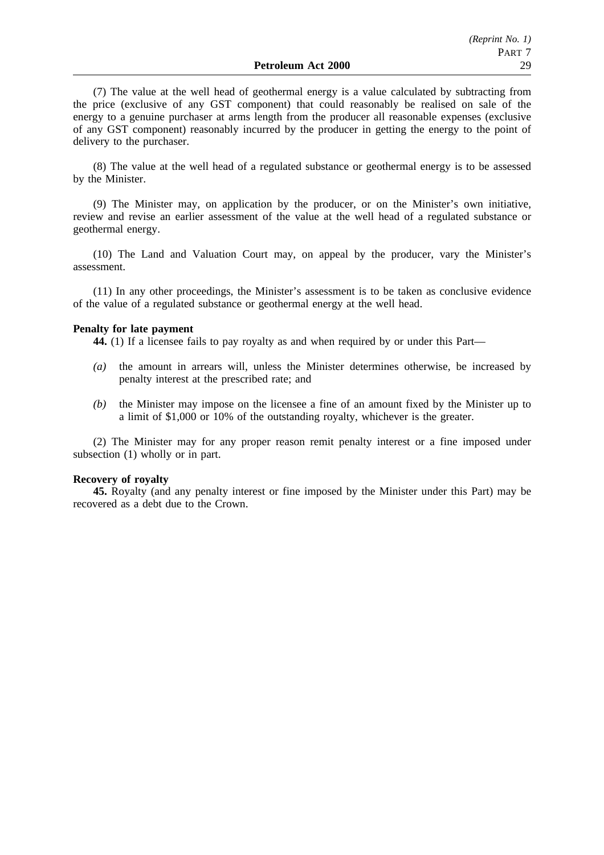(7) The value at the well head of geothermal energy is a value calculated by subtracting from the price (exclusive of any GST component) that could reasonably be realised on sale of the energy to a genuine purchaser at arms length from the producer all reasonable expenses (exclusive of any GST component) reasonably incurred by the producer in getting the energy to the point of delivery to the purchaser.

(8) The value at the well head of a regulated substance or geothermal energy is to be assessed by the Minister.

(9) The Minister may, on application by the producer, or on the Minister's own initiative, review and revise an earlier assessment of the value at the well head of a regulated substance or geothermal energy.

(10) The Land and Valuation Court may, on appeal by the producer, vary the Minister's assessment.

(11) In any other proceedings, the Minister's assessment is to be taken as conclusive evidence of the value of a regulated substance or geothermal energy at the well head.

### **Penalty for late payment**

**44.** (1) If a licensee fails to pay royalty as and when required by or under this Part—

- *(a)* the amount in arrears will, unless the Minister determines otherwise, be increased by penalty interest at the prescribed rate; and
- *(b)* the Minister may impose on the licensee a fine of an amount fixed by the Minister up to a limit of \$1,000 or 10% of the outstanding royalty, whichever is the greater.

(2) The Minister may for any proper reason remit penalty interest or a fine imposed under subsection (1) wholly or in part.

#### **Recovery of royalty**

**45.** Royalty (and any penalty interest or fine imposed by the Minister under this Part) may be recovered as a debt due to the Crown.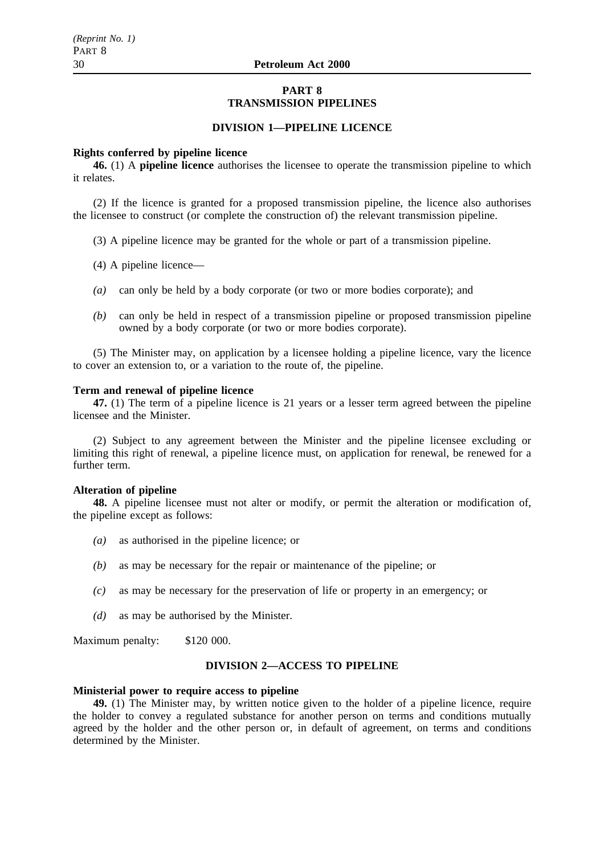## **PART 8 TRANSMISSION PIPELINES**

## **DIVISION 1—PIPELINE LICENCE**

#### **Rights conferred by pipeline licence**

**46.** (1) A **pipeline licence** authorises the licensee to operate the transmission pipeline to which it relates.

(2) If the licence is granted for a proposed transmission pipeline, the licence also authorises the licensee to construct (or complete the construction of) the relevant transmission pipeline.

- (3) A pipeline licence may be granted for the whole or part of a transmission pipeline.
- (4) A pipeline licence—
- *(a)* can only be held by a body corporate (or two or more bodies corporate); and
- *(b)* can only be held in respect of a transmission pipeline or proposed transmission pipeline owned by a body corporate (or two or more bodies corporate).

(5) The Minister may, on application by a licensee holding a pipeline licence, vary the licence to cover an extension to, or a variation to the route of, the pipeline.

#### **Term and renewal of pipeline licence**

**47.** (1) The term of a pipeline licence is 21 years or a lesser term agreed between the pipeline licensee and the Minister.

(2) Subject to any agreement between the Minister and the pipeline licensee excluding or limiting this right of renewal, a pipeline licence must, on application for renewal, be renewed for a further term.

#### **Alteration of pipeline**

**48.** A pipeline licensee must not alter or modify, or permit the alteration or modification of, the pipeline except as follows:

- *(a)* as authorised in the pipeline licence; or
- *(b)* as may be necessary for the repair or maintenance of the pipeline; or
- *(c)* as may be necessary for the preservation of life or property in an emergency; or
- *(d)* as may be authorised by the Minister.

Maximum penalty: \$120 000.

## **DIVISION 2—ACCESS TO PIPELINE**

## **Ministerial power to require access to pipeline**

**49.** (1) The Minister may, by written notice given to the holder of a pipeline licence, require the holder to convey a regulated substance for another person on terms and conditions mutually agreed by the holder and the other person or, in default of agreement, on terms and conditions determined by the Minister.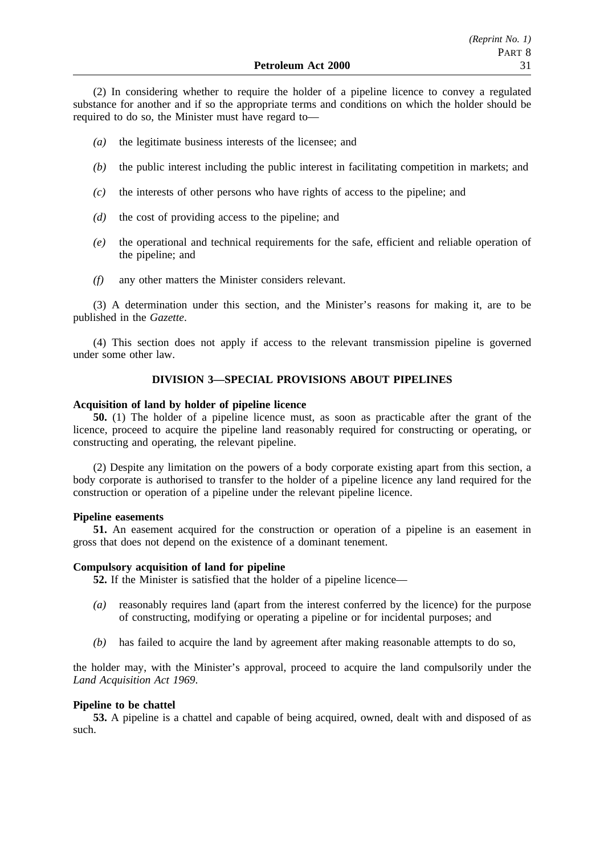(2) In considering whether to require the holder of a pipeline licence to convey a regulated substance for another and if so the appropriate terms and conditions on which the holder should be required to do so, the Minister must have regard to—

- *(a)* the legitimate business interests of the licensee; and
- *(b)* the public interest including the public interest in facilitating competition in markets; and
- *(c)* the interests of other persons who have rights of access to the pipeline; and
- *(d)* the cost of providing access to the pipeline; and
- *(e)* the operational and technical requirements for the safe, efficient and reliable operation of the pipeline; and
- *(f)* any other matters the Minister considers relevant.

(3) A determination under this section, and the Minister's reasons for making it, are to be published in the *Gazette*.

(4) This section does not apply if access to the relevant transmission pipeline is governed under some other law.

## **DIVISION 3—SPECIAL PROVISIONS ABOUT PIPELINES**

## **Acquisition of land by holder of pipeline licence**

**50.** (1) The holder of a pipeline licence must, as soon as practicable after the grant of the licence, proceed to acquire the pipeline land reasonably required for constructing or operating, or constructing and operating, the relevant pipeline.

(2) Despite any limitation on the powers of a body corporate existing apart from this section, a body corporate is authorised to transfer to the holder of a pipeline licence any land required for the construction or operation of a pipeline under the relevant pipeline licence.

## **Pipeline easements**

**51.** An easement acquired for the construction or operation of a pipeline is an easement in gross that does not depend on the existence of a dominant tenement.

## **Compulsory acquisition of land for pipeline**

**52.** If the Minister is satisfied that the holder of a pipeline licence—

- *(a)* reasonably requires land (apart from the interest conferred by the licence) for the purpose of constructing, modifying or operating a pipeline or for incidental purposes; and
- *(b)* has failed to acquire the land by agreement after making reasonable attempts to do so,

the holder may, with the Minister's approval, proceed to acquire the land compulsorily under the *Land Acquisition Act 1969*.

## **Pipeline to be chattel**

**53.** A pipeline is a chattel and capable of being acquired, owned, dealt with and disposed of as such.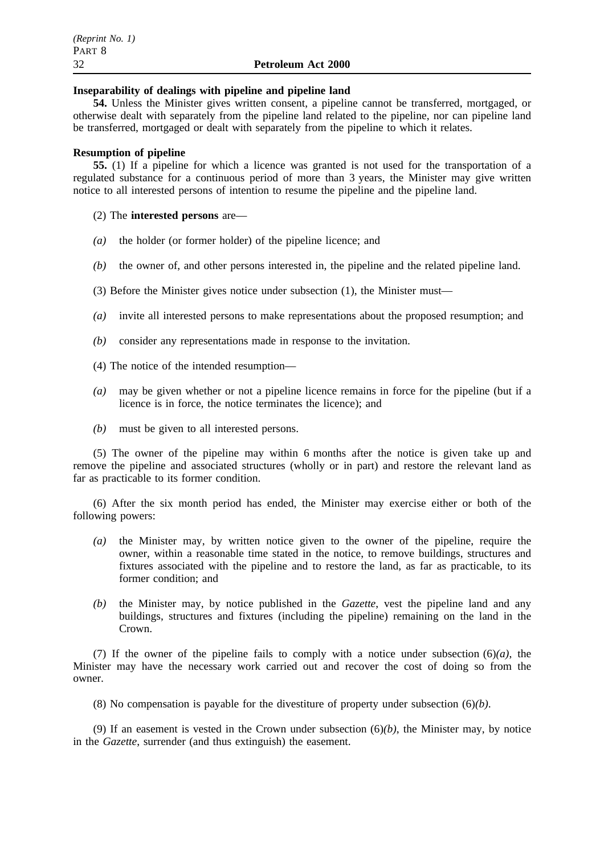### **Inseparability of dealings with pipeline and pipeline land**

**54.** Unless the Minister gives written consent, a pipeline cannot be transferred, mortgaged, or otherwise dealt with separately from the pipeline land related to the pipeline, nor can pipeline land be transferred, mortgaged or dealt with separately from the pipeline to which it relates.

## **Resumption of pipeline**

**55.** (1) If a pipeline for which a licence was granted is not used for the transportation of a regulated substance for a continuous period of more than 3 years, the Minister may give written notice to all interested persons of intention to resume the pipeline and the pipeline land.

## (2) The **interested persons** are—

- *(a)* the holder (or former holder) of the pipeline licence; and
- *(b)* the owner of, and other persons interested in, the pipeline and the related pipeline land.
- (3) Before the Minister gives notice under subsection (1), the Minister must—
- *(a)* invite all interested persons to make representations about the proposed resumption; and
- *(b)* consider any representations made in response to the invitation.
- (4) The notice of the intended resumption—
- *(a)* may be given whether or not a pipeline licence remains in force for the pipeline (but if a licence is in force, the notice terminates the licence); and
- *(b)* must be given to all interested persons.

(5) The owner of the pipeline may within 6 months after the notice is given take up and remove the pipeline and associated structures (wholly or in part) and restore the relevant land as far as practicable to its former condition.

(6) After the six month period has ended, the Minister may exercise either or both of the following powers:

- *(a)* the Minister may, by written notice given to the owner of the pipeline, require the owner, within a reasonable time stated in the notice, to remove buildings, structures and fixtures associated with the pipeline and to restore the land, as far as practicable, to its former condition; and
- *(b)* the Minister may, by notice published in the *Gazette*, vest the pipeline land and any buildings, structures and fixtures (including the pipeline) remaining on the land in the Crown.

(7) If the owner of the pipeline fails to comply with a notice under subsection  $(6)(a)$ , the Minister may have the necessary work carried out and recover the cost of doing so from the owner.

(8) No compensation is payable for the divestiture of property under subsection (6)*(b)*.

(9) If an easement is vested in the Crown under subsection  $(6)(b)$ , the Minister may, by notice in the *Gazette*, surrender (and thus extinguish) the easement.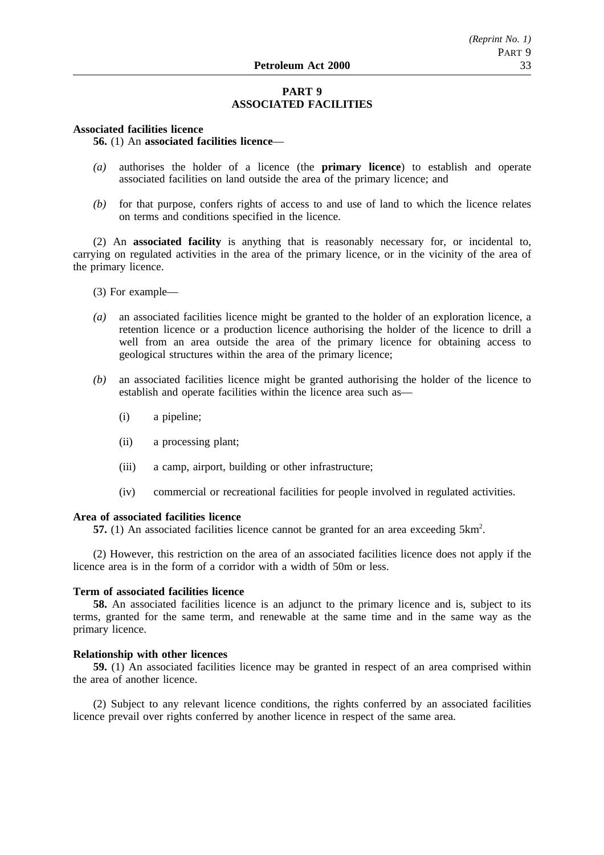## **PART 9 ASSOCIATED FACILITIES**

### **Associated facilities licence**

**56.** (1) An **associated facilities licence**—

- *(a)* authorises the holder of a licence (the **primary licence**) to establish and operate associated facilities on land outside the area of the primary licence; and
- *(b)* for that purpose, confers rights of access to and use of land to which the licence relates on terms and conditions specified in the licence.

(2) An **associated facility** is anything that is reasonably necessary for, or incidental to, carrying on regulated activities in the area of the primary licence, or in the vicinity of the area of the primary licence.

(3) For example—

- *(a)* an associated facilities licence might be granted to the holder of an exploration licence, a retention licence or a production licence authorising the holder of the licence to drill a well from an area outside the area of the primary licence for obtaining access to geological structures within the area of the primary licence;
- *(b)* an associated facilities licence might be granted authorising the holder of the licence to establish and operate facilities within the licence area such as—
	- (i) a pipeline;
	- (ii) a processing plant;
	- (iii) a camp, airport, building or other infrastructure;
	- (iv) commercial or recreational facilities for people involved in regulated activities.

## **Area of associated facilities licence**

57. (1) An associated facilities licence cannot be granted for an area exceeding 5km<sup>2</sup>.

(2) However, this restriction on the area of an associated facilities licence does not apply if the licence area is in the form of a corridor with a width of 50m or less.

#### **Term of associated facilities licence**

**58.** An associated facilities licence is an adjunct to the primary licence and is, subject to its terms, granted for the same term, and renewable at the same time and in the same way as the primary licence.

#### **Relationship with other licences**

**59.** (1) An associated facilities licence may be granted in respect of an area comprised within the area of another licence.

(2) Subject to any relevant licence conditions, the rights conferred by an associated facilities licence prevail over rights conferred by another licence in respect of the same area.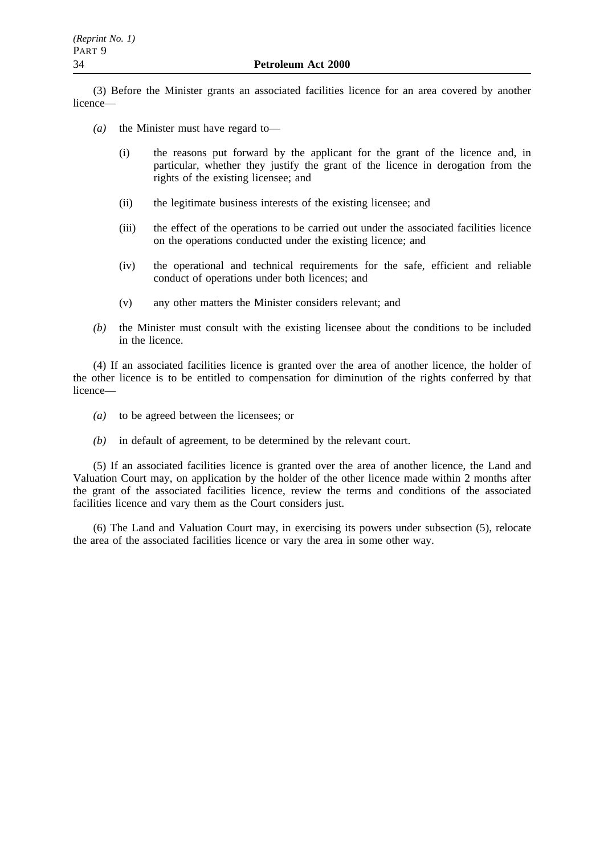(3) Before the Minister grants an associated facilities licence for an area covered by another licence—

- *(a)* the Minister must have regard to—
	- (i) the reasons put forward by the applicant for the grant of the licence and, in particular, whether they justify the grant of the licence in derogation from the rights of the existing licensee; and
	- (ii) the legitimate business interests of the existing licensee; and
	- (iii) the effect of the operations to be carried out under the associated facilities licence on the operations conducted under the existing licence; and
	- (iv) the operational and technical requirements for the safe, efficient and reliable conduct of operations under both licences; and
	- (v) any other matters the Minister considers relevant; and
- *(b)* the Minister must consult with the existing licensee about the conditions to be included in the licence.

(4) If an associated facilities licence is granted over the area of another licence, the holder of the other licence is to be entitled to compensation for diminution of the rights conferred by that licence—

- *(a)* to be agreed between the licensees; or
- *(b)* in default of agreement, to be determined by the relevant court.

(5) If an associated facilities licence is granted over the area of another licence, the Land and Valuation Court may, on application by the holder of the other licence made within 2 months after the grant of the associated facilities licence, review the terms and conditions of the associated facilities licence and vary them as the Court considers just.

(6) The Land and Valuation Court may, in exercising its powers under subsection (5), relocate the area of the associated facilities licence or vary the area in some other way.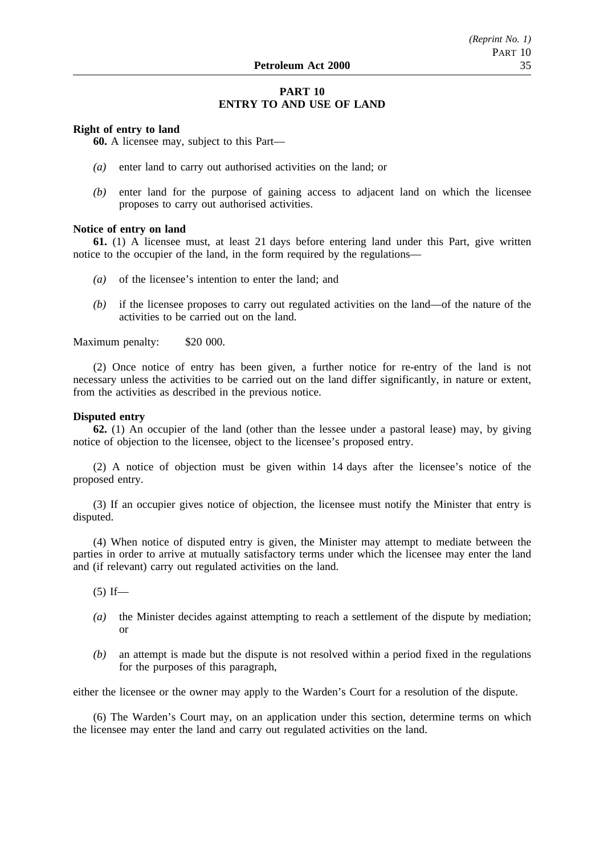## **PART 10 ENTRY TO AND USE OF LAND**

## **Right of entry to land**

**60.** A licensee may, subject to this Part—

- *(a)* enter land to carry out authorised activities on the land; or
- *(b)* enter land for the purpose of gaining access to adjacent land on which the licensee proposes to carry out authorised activities.

#### **Notice of entry on land**

**61.** (1) A licensee must, at least 21 days before entering land under this Part, give written notice to the occupier of the land, in the form required by the regulations—

- *(a)* of the licensee's intention to enter the land; and
- *(b)* if the licensee proposes to carry out regulated activities on the land—of the nature of the activities to be carried out on the land.

Maximum penalty: \$20 000.

(2) Once notice of entry has been given, a further notice for re-entry of the land is not necessary unless the activities to be carried out on the land differ significantly, in nature or extent, from the activities as described in the previous notice.

## **Disputed entry**

**62.** (1) An occupier of the land (other than the lessee under a pastoral lease) may, by giving notice of objection to the licensee, object to the licensee's proposed entry.

(2) A notice of objection must be given within 14 days after the licensee's notice of the proposed entry.

(3) If an occupier gives notice of objection, the licensee must notify the Minister that entry is disputed.

(4) When notice of disputed entry is given, the Minister may attempt to mediate between the parties in order to arrive at mutually satisfactory terms under which the licensee may enter the land and (if relevant) carry out regulated activities on the land.

 $(5)$  If—

- *(a)* the Minister decides against attempting to reach a settlement of the dispute by mediation; or
- *(b)* an attempt is made but the dispute is not resolved within a period fixed in the regulations for the purposes of this paragraph,

either the licensee or the owner may apply to the Warden's Court for a resolution of the dispute.

(6) The Warden's Court may, on an application under this section, determine terms on which the licensee may enter the land and carry out regulated activities on the land.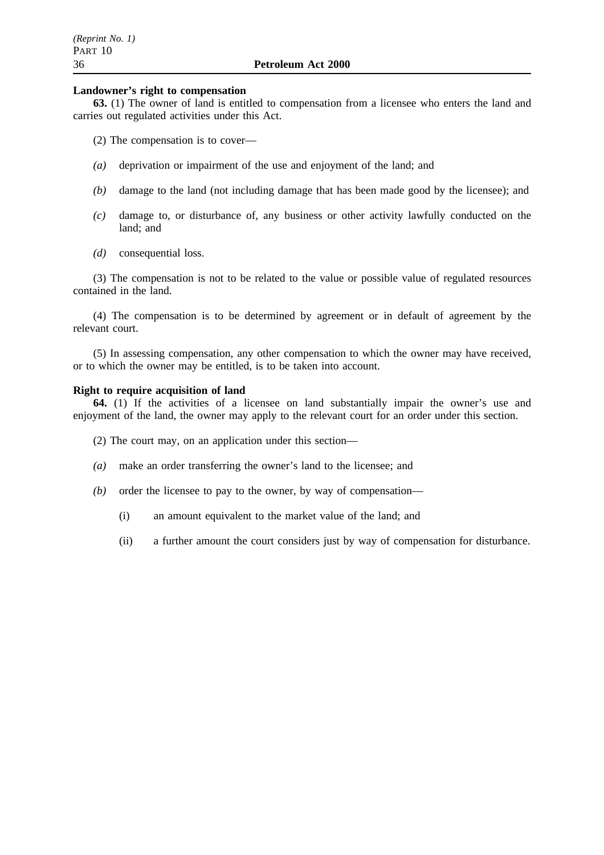### **Landowner's right to compensation**

**63.** (1) The owner of land is entitled to compensation from a licensee who enters the land and carries out regulated activities under this Act.

- (2) The compensation is to cover—
- *(a)* deprivation or impairment of the use and enjoyment of the land; and
- *(b)* damage to the land (not including damage that has been made good by the licensee); and
- *(c)* damage to, or disturbance of, any business or other activity lawfully conducted on the land; and
- *(d)* consequential loss.

(3) The compensation is not to be related to the value or possible value of regulated resources contained in the land.

(4) The compensation is to be determined by agreement or in default of agreement by the relevant court.

(5) In assessing compensation, any other compensation to which the owner may have received, or to which the owner may be entitled, is to be taken into account.

#### **Right to require acquisition of land**

**64.** (1) If the activities of a licensee on land substantially impair the owner's use and enjoyment of the land, the owner may apply to the relevant court for an order under this section.

- (2) The court may, on an application under this section—
- *(a)* make an order transferring the owner's land to the licensee; and
- *(b)* order the licensee to pay to the owner, by way of compensation—
	- (i) an amount equivalent to the market value of the land; and
	- (ii) a further amount the court considers just by way of compensation for disturbance.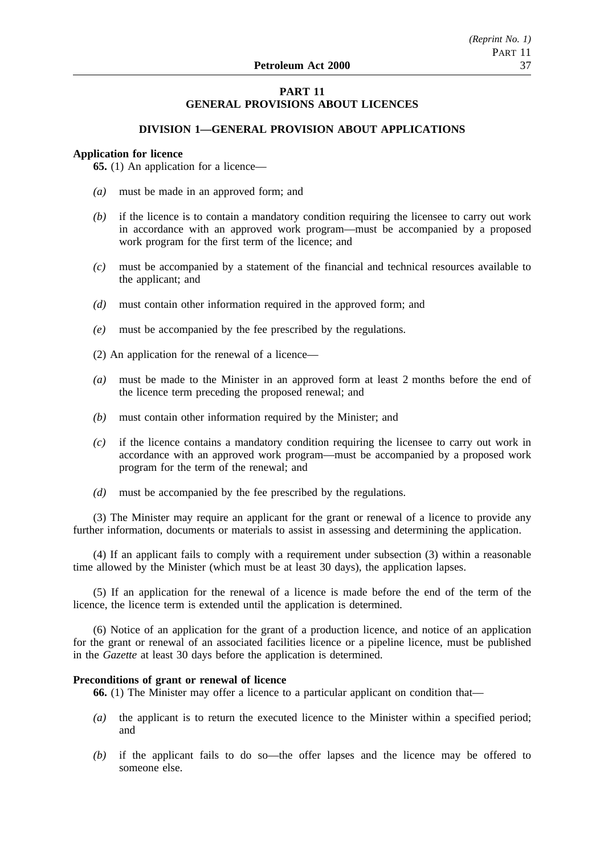## **PART 11 GENERAL PROVISIONS ABOUT LICENCES**

## **DIVISION 1—GENERAL PROVISION ABOUT APPLICATIONS**

### **Application for licence**

**65.** (1) An application for a licence—

- *(a)* must be made in an approved form; and
- *(b)* if the licence is to contain a mandatory condition requiring the licensee to carry out work in accordance with an approved work program—must be accompanied by a proposed work program for the first term of the licence; and
- *(c)* must be accompanied by a statement of the financial and technical resources available to the applicant; and
- *(d)* must contain other information required in the approved form; and
- *(e)* must be accompanied by the fee prescribed by the regulations.
- (2) An application for the renewal of a licence—
- *(a)* must be made to the Minister in an approved form at least 2 months before the end of the licence term preceding the proposed renewal; and
- *(b)* must contain other information required by the Minister; and
- *(c)* if the licence contains a mandatory condition requiring the licensee to carry out work in accordance with an approved work program—must be accompanied by a proposed work program for the term of the renewal; and
- *(d)* must be accompanied by the fee prescribed by the regulations.

(3) The Minister may require an applicant for the grant or renewal of a licence to provide any further information, documents or materials to assist in assessing and determining the application.

(4) If an applicant fails to comply with a requirement under subsection (3) within a reasonable time allowed by the Minister (which must be at least 30 days), the application lapses.

(5) If an application for the renewal of a licence is made before the end of the term of the licence, the licence term is extended until the application is determined.

(6) Notice of an application for the grant of a production licence, and notice of an application for the grant or renewal of an associated facilities licence or a pipeline licence, must be published in the *Gazette* at least 30 days before the application is determined.

#### **Preconditions of grant or renewal of licence**

**66.** (1) The Minister may offer a licence to a particular applicant on condition that—

- *(a)* the applicant is to return the executed licence to the Minister within a specified period; and
- *(b)* if the applicant fails to do so—the offer lapses and the licence may be offered to someone else.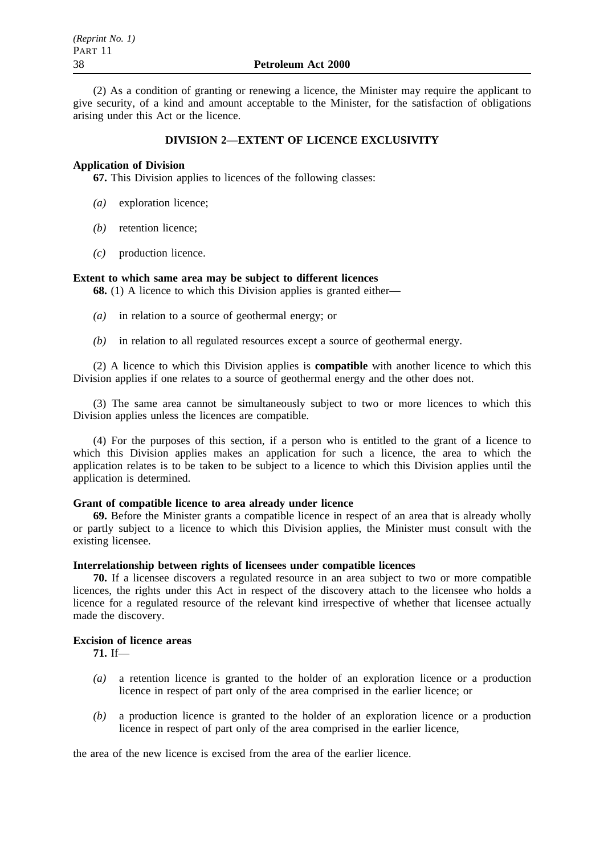(2) As a condition of granting or renewing a licence, the Minister may require the applicant to give security, of a kind and amount acceptable to the Minister, for the satisfaction of obligations arising under this Act or the licence.

## **DIVISION 2—EXTENT OF LICENCE EXCLUSIVITY**

### **Application of Division**

**67.** This Division applies to licences of the following classes:

- *(a)* exploration licence;
- *(b)* retention licence;
- *(c)* production licence.

### **Extent to which same area may be subject to different licences**

**68.** (1) A licence to which this Division applies is granted either—

- *(a)* in relation to a source of geothermal energy; or
- *(b)* in relation to all regulated resources except a source of geothermal energy.

(2) A licence to which this Division applies is **compatible** with another licence to which this Division applies if one relates to a source of geothermal energy and the other does not.

(3) The same area cannot be simultaneously subject to two or more licences to which this Division applies unless the licences are compatible.

(4) For the purposes of this section, if a person who is entitled to the grant of a licence to which this Division applies makes an application for such a licence, the area to which the application relates is to be taken to be subject to a licence to which this Division applies until the application is determined.

#### **Grant of compatible licence to area already under licence**

**69.** Before the Minister grants a compatible licence in respect of an area that is already wholly or partly subject to a licence to which this Division applies, the Minister must consult with the existing licensee.

## **Interrelationship between rights of licensees under compatible licences**

**70.** If a licensee discovers a regulated resource in an area subject to two or more compatible licences, the rights under this Act in respect of the discovery attach to the licensee who holds a licence for a regulated resource of the relevant kind irrespective of whether that licensee actually made the discovery.

## **Excision of licence areas**

**71.** If—

- *(a)* a retention licence is granted to the holder of an exploration licence or a production licence in respect of part only of the area comprised in the earlier licence; or
- *(b)* a production licence is granted to the holder of an exploration licence or a production licence in respect of part only of the area comprised in the earlier licence,

the area of the new licence is excised from the area of the earlier licence.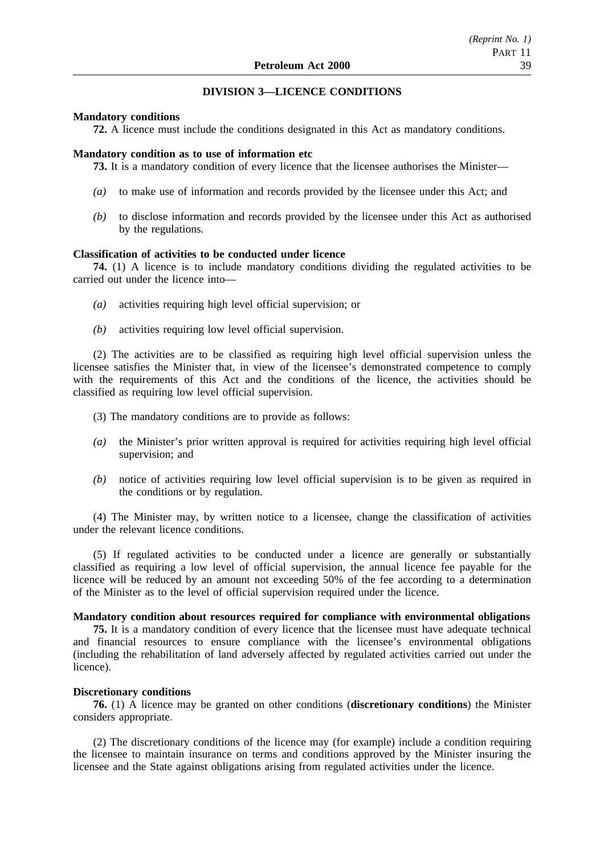## **DIVISION 3—LICENCE CONDITIONS**

### **Mandatory conditions**

**72.** A licence must include the conditions designated in this Act as mandatory conditions.

#### **Mandatory condition as to use of information etc**

**73.** It is a mandatory condition of every licence that the licensee authorises the Minister—

- *(a)* to make use of information and records provided by the licensee under this Act; and
- *(b)* to disclose information and records provided by the licensee under this Act as authorised by the regulations.

## **Classification of activities to be conducted under licence**

**74.** (1) A licence is to include mandatory conditions dividing the regulated activities to be carried out under the licence into—

- *(a)* activities requiring high level official supervision; or
- *(b)* activities requiring low level official supervision.

(2) The activities are to be classified as requiring high level official supervision unless the licensee satisfies the Minister that, in view of the licensee's demonstrated competence to comply with the requirements of this Act and the conditions of the licence, the activities should be classified as requiring low level official supervision.

(3) The mandatory conditions are to provide as follows:

- *(a)* the Minister's prior written approval is required for activities requiring high level official supervision; and
- *(b)* notice of activities requiring low level official supervision is to be given as required in the conditions or by regulation.

(4) The Minister may, by written notice to a licensee, change the classification of activities under the relevant licence conditions.

(5) If regulated activities to be conducted under a licence are generally or substantially classified as requiring a low level of official supervision, the annual licence fee payable for the licence will be reduced by an amount not exceeding 50% of the fee according to a determination of the Minister as to the level of official supervision required under the licence.

#### **Mandatory condition about resources required for compliance with environmental obligations**

**75.** It is a mandatory condition of every licence that the licensee must have adequate technical and financial resources to ensure compliance with the licensee's environmental obligations (including the rehabilitation of land adversely affected by regulated activities carried out under the licence).

#### **Discretionary conditions**

**76.** (1) A licence may be granted on other conditions (**discretionary conditions**) the Minister considers appropriate.

(2) The discretionary conditions of the licence may (for example) include a condition requiring the licensee to maintain insurance on terms and conditions approved by the Minister insuring the licensee and the State against obligations arising from regulated activities under the licence.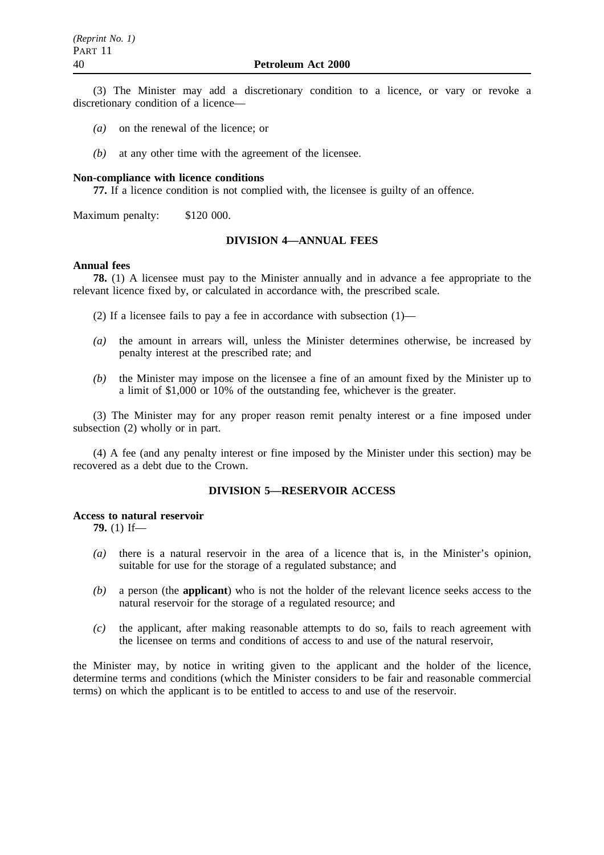(3) The Minister may add a discretionary condition to a licence, or vary or revoke a discretionary condition of a licence—

- *(a)* on the renewal of the licence; or
- *(b)* at any other time with the agreement of the licensee.

#### **Non-compliance with licence conditions**

**77.** If a licence condition is not complied with, the licensee is guilty of an offence.

Maximum penalty: \$120 000.

## **DIVISION 4—ANNUAL FEES**

#### **Annual fees**

**78.** (1) A licensee must pay to the Minister annually and in advance a fee appropriate to the relevant licence fixed by, or calculated in accordance with, the prescribed scale.

(2) If a licensee fails to pay a fee in accordance with subsection (1)—

- *(a)* the amount in arrears will, unless the Minister determines otherwise, be increased by penalty interest at the prescribed rate; and
- *(b)* the Minister may impose on the licensee a fine of an amount fixed by the Minister up to a limit of \$1,000 or 10% of the outstanding fee, whichever is the greater.

(3) The Minister may for any proper reason remit penalty interest or a fine imposed under subsection (2) wholly or in part.

(4) A fee (and any penalty interest or fine imposed by the Minister under this section) may be recovered as a debt due to the Crown.

## **DIVISION 5—RESERVOIR ACCESS**

### **Access to natural reservoir**

**79.** (1) If—

- *(a)* there is a natural reservoir in the area of a licence that is, in the Minister's opinion, suitable for use for the storage of a regulated substance; and
- *(b)* a person (the **applicant**) who is not the holder of the relevant licence seeks access to the natural reservoir for the storage of a regulated resource; and
- *(c)* the applicant, after making reasonable attempts to do so, fails to reach agreement with the licensee on terms and conditions of access to and use of the natural reservoir,

the Minister may, by notice in writing given to the applicant and the holder of the licence, determine terms and conditions (which the Minister considers to be fair and reasonable commercial terms) on which the applicant is to be entitled to access to and use of the reservoir.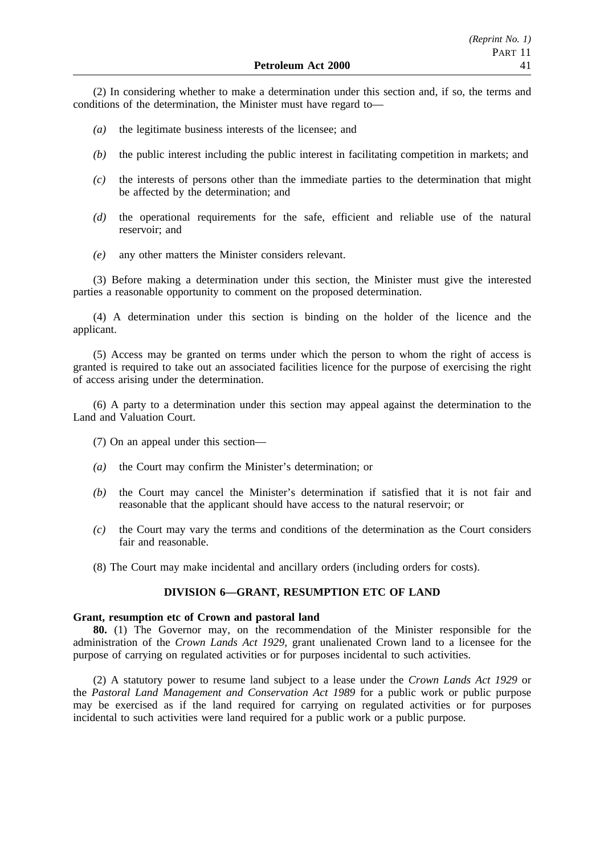(2) In considering whether to make a determination under this section and, if so, the terms and conditions of the determination, the Minister must have regard to—

- *(a)* the legitimate business interests of the licensee; and
- *(b)* the public interest including the public interest in facilitating competition in markets; and
- *(c)* the interests of persons other than the immediate parties to the determination that might be affected by the determination; and
- *(d)* the operational requirements for the safe, efficient and reliable use of the natural reservoir; and
- *(e)* any other matters the Minister considers relevant.

(3) Before making a determination under this section, the Minister must give the interested parties a reasonable opportunity to comment on the proposed determination.

(4) A determination under this section is binding on the holder of the licence and the applicant.

(5) Access may be granted on terms under which the person to whom the right of access is granted is required to take out an associated facilities licence for the purpose of exercising the right of access arising under the determination.

(6) A party to a determination under this section may appeal against the determination to the Land and Valuation Court.

- (7) On an appeal under this section—
- *(a)* the Court may confirm the Minister's determination; or
- *(b)* the Court may cancel the Minister's determination if satisfied that it is not fair and reasonable that the applicant should have access to the natural reservoir; or
- *(c)* the Court may vary the terms and conditions of the determination as the Court considers fair and reasonable.
- (8) The Court may make incidental and ancillary orders (including orders for costs).

## **DIVISION 6—GRANT, RESUMPTION ETC OF LAND**

#### **Grant, resumption etc of Crown and pastoral land**

**80.** (1) The Governor may, on the recommendation of the Minister responsible for the administration of the *Crown Lands Act 1929*, grant unalienated Crown land to a licensee for the purpose of carrying on regulated activities or for purposes incidental to such activities.

(2) A statutory power to resume land subject to a lease under the *Crown Lands Act 1929* or the *Pastoral Land Management and Conservation Act 1989* for a public work or public purpose may be exercised as if the land required for carrying on regulated activities or for purposes incidental to such activities were land required for a public work or a public purpose.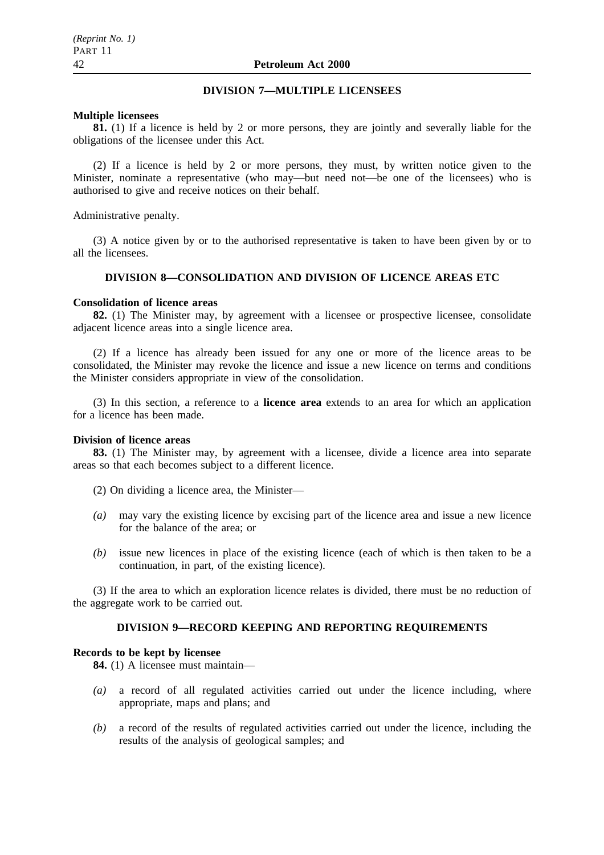## **DIVISION 7—MULTIPLE LICENSEES**

### **Multiple licensees**

**81.** (1) If a licence is held by 2 or more persons, they are jointly and severally liable for the obligations of the licensee under this Act.

(2) If a licence is held by 2 or more persons, they must, by written notice given to the Minister, nominate a representative (who may—but need not—be one of the licensees) who is authorised to give and receive notices on their behalf.

Administrative penalty.

(3) A notice given by or to the authorised representative is taken to have been given by or to all the licensees.

## **DIVISION 8—CONSOLIDATION AND DIVISION OF LICENCE AREAS ETC**

### **Consolidation of licence areas**

**82.** (1) The Minister may, by agreement with a licensee or prospective licensee, consolidate adjacent licence areas into a single licence area.

(2) If a licence has already been issued for any one or more of the licence areas to be consolidated, the Minister may revoke the licence and issue a new licence on terms and conditions the Minister considers appropriate in view of the consolidation.

(3) In this section, a reference to a **licence area** extends to an area for which an application for a licence has been made.

## **Division of licence areas**

**83.** (1) The Minister may, by agreement with a licensee, divide a licence area into separate areas so that each becomes subject to a different licence.

- (2) On dividing a licence area, the Minister—
- *(a)* may vary the existing licence by excising part of the licence area and issue a new licence for the balance of the area; or
- *(b)* issue new licences in place of the existing licence (each of which is then taken to be a continuation, in part, of the existing licence).

(3) If the area to which an exploration licence relates is divided, there must be no reduction of the aggregate work to be carried out.

## **DIVISION 9—RECORD KEEPING AND REPORTING REQUIREMENTS**

## **Records to be kept by licensee**

**84.** (1) A licensee must maintain—

- *(a)* a record of all regulated activities carried out under the licence including, where appropriate, maps and plans; and
- *(b)* a record of the results of regulated activities carried out under the licence, including the results of the analysis of geological samples; and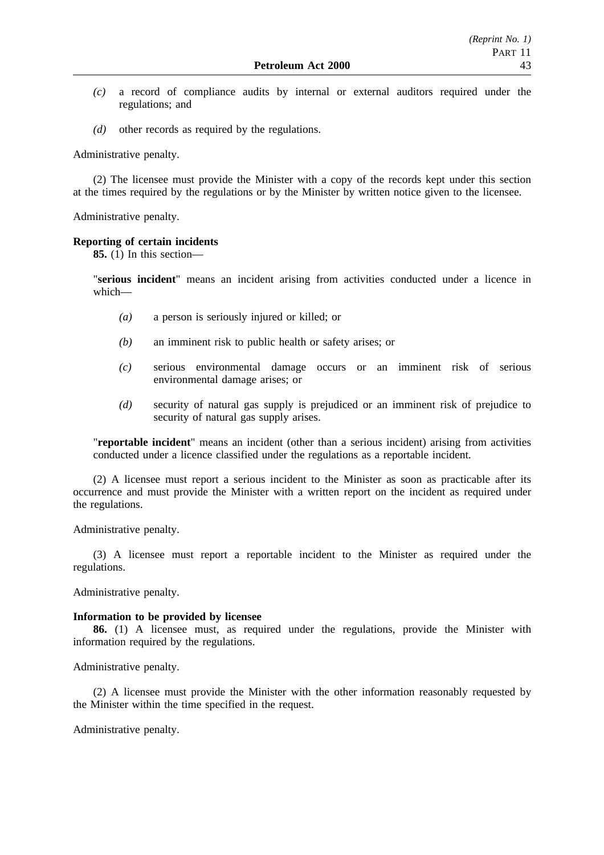- *(c)* a record of compliance audits by internal or external auditors required under the regulations; and
- *(d)* other records as required by the regulations.

Administrative penalty.

(2) The licensee must provide the Minister with a copy of the records kept under this section at the times required by the regulations or by the Minister by written notice given to the licensee.

Administrative penalty.

## **Reporting of certain incidents**

**85.** (1) In this section—

"**serious incident**" means an incident arising from activities conducted under a licence in which—

- *(a)* a person is seriously injured or killed; or
- *(b)* an imminent risk to public health or safety arises; or
- *(c)* serious environmental damage occurs or an imminent risk of serious environmental damage arises; or
- *(d)* security of natural gas supply is prejudiced or an imminent risk of prejudice to security of natural gas supply arises.

"**reportable incident**" means an incident (other than a serious incident) arising from activities conducted under a licence classified under the regulations as a reportable incident.

(2) A licensee must report a serious incident to the Minister as soon as practicable after its occurrence and must provide the Minister with a written report on the incident as required under the regulations.

Administrative penalty.

(3) A licensee must report a reportable incident to the Minister as required under the regulations.

Administrative penalty.

## **Information to be provided by licensee**

**86.** (1) A licensee must, as required under the regulations, provide the Minister with information required by the regulations.

Administrative penalty.

(2) A licensee must provide the Minister with the other information reasonably requested by the Minister within the time specified in the request.

Administrative penalty.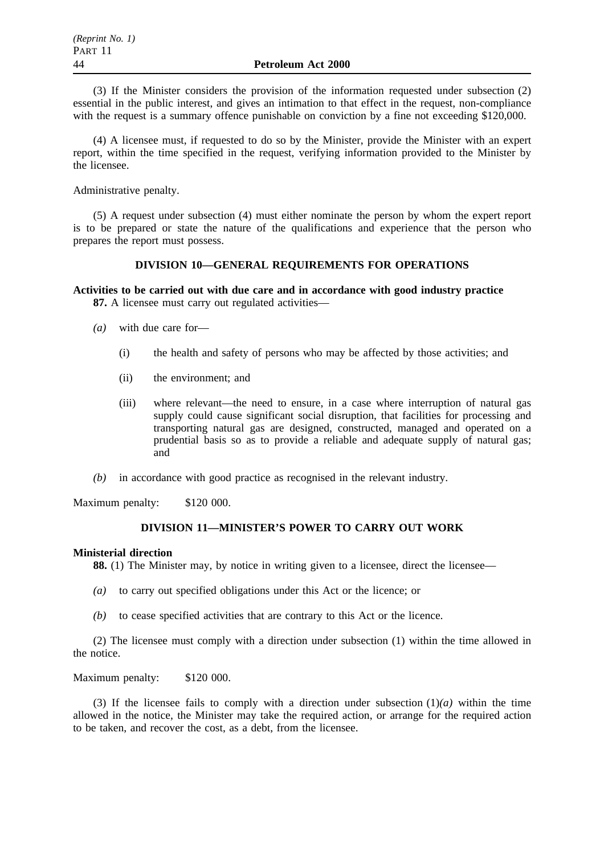(3) If the Minister considers the provision of the information requested under subsection (2) essential in the public interest, and gives an intimation to that effect in the request, non-compliance with the request is a summary offence punishable on conviction by a fine not exceeding \$120,000.

(4) A licensee must, if requested to do so by the Minister, provide the Minister with an expert report, within the time specified in the request, verifying information provided to the Minister by the licensee.

Administrative penalty.

(5) A request under subsection (4) must either nominate the person by whom the expert report is to be prepared or state the nature of the qualifications and experience that the person who prepares the report must possess.

## **DIVISION 10—GENERAL REQUIREMENTS FOR OPERATIONS**

# **Activities to be carried out with due care and in accordance with good industry practice**

**87.** A licensee must carry out regulated activities—

- *(a)* with due care for—
	- (i) the health and safety of persons who may be affected by those activities; and
	- (ii) the environment; and
	- (iii) where relevant—the need to ensure, in a case where interruption of natural gas supply could cause significant social disruption, that facilities for processing and transporting natural gas are designed, constructed, managed and operated on a prudential basis so as to provide a reliable and adequate supply of natural gas; and
- *(b)* in accordance with good practice as recognised in the relevant industry.

Maximum penalty: \$120 000.

## **DIVISION 11—MINISTER'S POWER TO CARRY OUT WORK**

#### **Ministerial direction**

**88.** (1) The Minister may, by notice in writing given to a licensee, direct the licensee—

- *(a)* to carry out specified obligations under this Act or the licence; or
- *(b)* to cease specified activities that are contrary to this Act or the licence.

(2) The licensee must comply with a direction under subsection (1) within the time allowed in the notice.

Maximum penalty: \$120 000.

(3) If the licensee fails to comply with a direction under subsection (1)*(a)* within the time allowed in the notice, the Minister may take the required action, or arrange for the required action to be taken, and recover the cost, as a debt, from the licensee.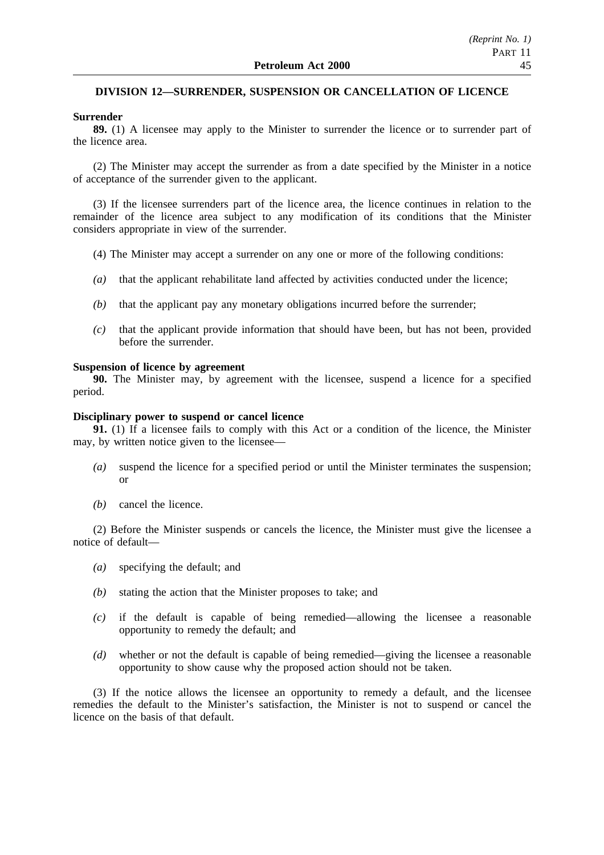## **DIVISION 12—SURRENDER, SUSPENSION OR CANCELLATION OF LICENCE**

### **Surrender**

**89.** (1) A licensee may apply to the Minister to surrender the licence or to surrender part of the licence area.

(2) The Minister may accept the surrender as from a date specified by the Minister in a notice of acceptance of the surrender given to the applicant.

(3) If the licensee surrenders part of the licence area, the licence continues in relation to the remainder of the licence area subject to any modification of its conditions that the Minister considers appropriate in view of the surrender.

- (4) The Minister may accept a surrender on any one or more of the following conditions:
- *(a)* that the applicant rehabilitate land affected by activities conducted under the licence;
- *(b)* that the applicant pay any monetary obligations incurred before the surrender;
- *(c)* that the applicant provide information that should have been, but has not been, provided before the surrender.

#### **Suspension of licence by agreement**

**90.** The Minister may, by agreement with the licensee, suspend a licence for a specified period.

## **Disciplinary power to suspend or cancel licence**

**91.** (1) If a licensee fails to comply with this Act or a condition of the licence, the Minister may, by written notice given to the licensee—

- *(a)* suspend the licence for a specified period or until the Minister terminates the suspension; or
- *(b)* cancel the licence.

(2) Before the Minister suspends or cancels the licence, the Minister must give the licensee a notice of default—

- *(a)* specifying the default; and
- *(b)* stating the action that the Minister proposes to take; and
- *(c)* if the default is capable of being remedied—allowing the licensee a reasonable opportunity to remedy the default; and
- *(d)* whether or not the default is capable of being remedied—giving the licensee a reasonable opportunity to show cause why the proposed action should not be taken.

(3) If the notice allows the licensee an opportunity to remedy a default, and the licensee remedies the default to the Minister's satisfaction, the Minister is not to suspend or cancel the licence on the basis of that default.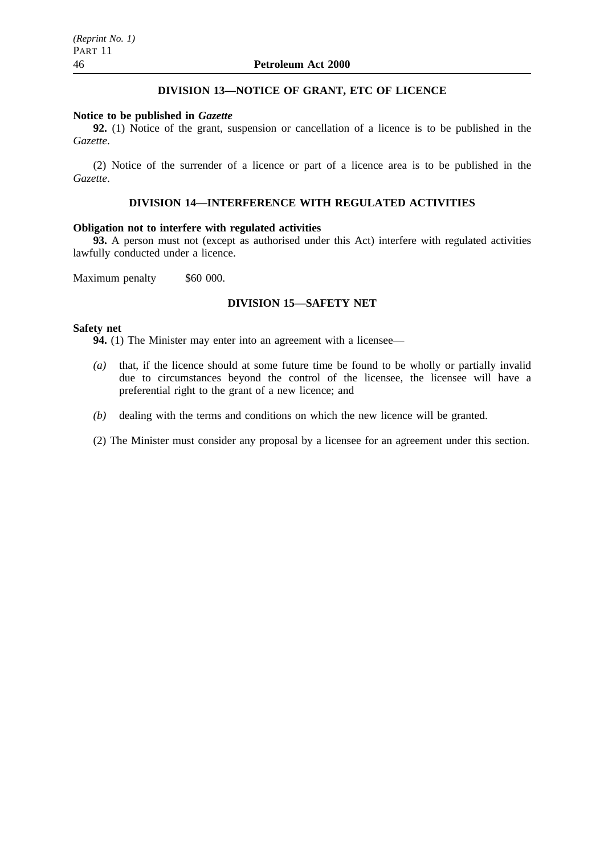## **DIVISION 13—NOTICE OF GRANT, ETC OF LICENCE**

#### **Notice to be published in** *Gazette*

**92.** (1) Notice of the grant, suspension or cancellation of a licence is to be published in the *Gazette*.

(2) Notice of the surrender of a licence or part of a licence area is to be published in the *Gazette*.

## **DIVISION 14—INTERFERENCE WITH REGULATED ACTIVITIES**

## **Obligation not to interfere with regulated activities**

**93.** A person must not (except as authorised under this Act) interfere with regulated activities lawfully conducted under a licence.

Maximum penalty \$60 000.

## **DIVISION 15—SAFETY NET**

### **Safety net**

**94.** (1) The Minister may enter into an agreement with a licensee—

- *(a)* that, if the licence should at some future time be found to be wholly or partially invalid due to circumstances beyond the control of the licensee, the licensee will have a preferential right to the grant of a new licence; and
- *(b)* dealing with the terms and conditions on which the new licence will be granted.
- (2) The Minister must consider any proposal by a licensee for an agreement under this section.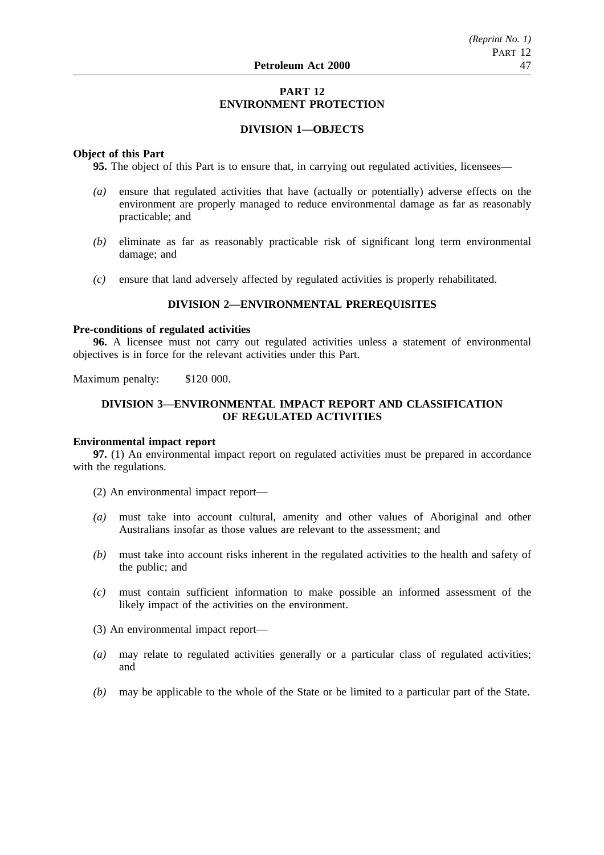## **PART 12 ENVIRONMENT PROTECTION**

## **DIVISION 1—OBJECTS**

## **Object of this Part**

**95.** The object of this Part is to ensure that, in carrying out regulated activities, licensees—

- *(a)* ensure that regulated activities that have (actually or potentially) adverse effects on the environment are properly managed to reduce environmental damage as far as reasonably practicable; and
- *(b)* eliminate as far as reasonably practicable risk of significant long term environmental damage; and
- *(c)* ensure that land adversely affected by regulated activities is properly rehabilitated.

## **DIVISION 2—ENVIRONMENTAL PREREQUISITES**

## **Pre-conditions of regulated activities**

**96.** A licensee must not carry out regulated activities unless a statement of environmental objectives is in force for the relevant activities under this Part.

Maximum penalty: \$120 000.

## **DIVISION 3—ENVIRONMENTAL IMPACT REPORT AND CLASSIFICATION OF REGULATED ACTIVITIES**

## **Environmental impact report**

**97.** (1) An environmental impact report on regulated activities must be prepared in accordance with the regulations.

- (2) An environmental impact report—
- *(a)* must take into account cultural, amenity and other values of Aboriginal and other Australians insofar as those values are relevant to the assessment; and
- *(b)* must take into account risks inherent in the regulated activities to the health and safety of the public; and
- *(c)* must contain sufficient information to make possible an informed assessment of the likely impact of the activities on the environment.
- (3) An environmental impact report—
- *(a)* may relate to regulated activities generally or a particular class of regulated activities; and
- *(b)* may be applicable to the whole of the State or be limited to a particular part of the State.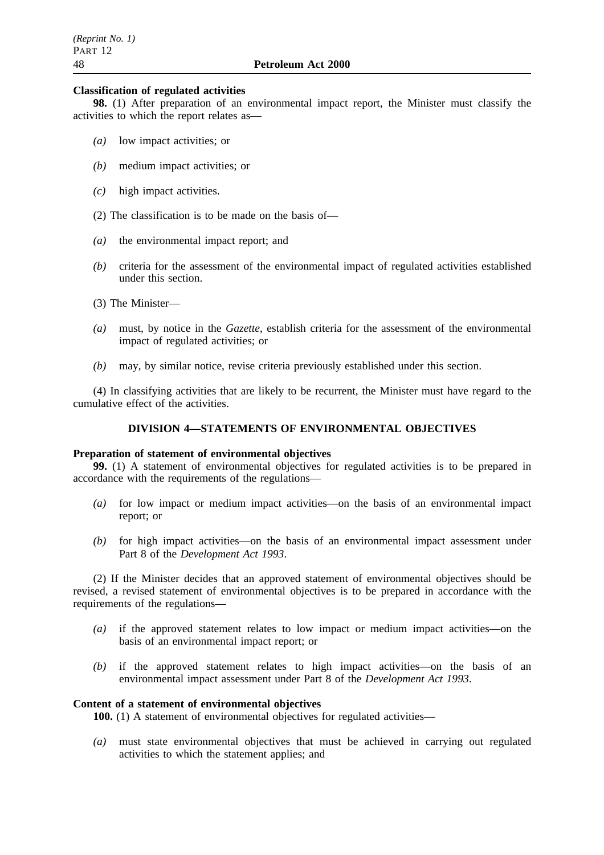#### **Classification of regulated activities**

**98.** (1) After preparation of an environmental impact report, the Minister must classify the activities to which the report relates as—

- *(a)* low impact activities; or
- *(b)* medium impact activities; or
- *(c)* high impact activities.
- (2) The classification is to be made on the basis of—
- *(a)* the environmental impact report; and
- *(b)* criteria for the assessment of the environmental impact of regulated activities established under this section.
- (3) The Minister—
- *(a)* must, by notice in the *Gazette*, establish criteria for the assessment of the environmental impact of regulated activities; or
- *(b)* may, by similar notice, revise criteria previously established under this section.

(4) In classifying activities that are likely to be recurrent, the Minister must have regard to the cumulative effect of the activities.

## **DIVISION 4—STATEMENTS OF ENVIRONMENTAL OBJECTIVES**

#### **Preparation of statement of environmental objectives**

**99.** (1) A statement of environmental objectives for regulated activities is to be prepared in accordance with the requirements of the regulations—

- *(a)* for low impact or medium impact activities—on the basis of an environmental impact report; or
- *(b)* for high impact activities—on the basis of an environmental impact assessment under Part 8 of the *Development Act 1993*.

(2) If the Minister decides that an approved statement of environmental objectives should be revised, a revised statement of environmental objectives is to be prepared in accordance with the requirements of the regulations—

- *(a)* if the approved statement relates to low impact or medium impact activities—on the basis of an environmental impact report; or
- *(b)* if the approved statement relates to high impact activities—on the basis of an environmental impact assessment under Part 8 of the *Development Act 1993*.

### **Content of a statement of environmental objectives**

**100.** (1) A statement of environmental objectives for regulated activities—

*(a)* must state environmental objectives that must be achieved in carrying out regulated activities to which the statement applies; and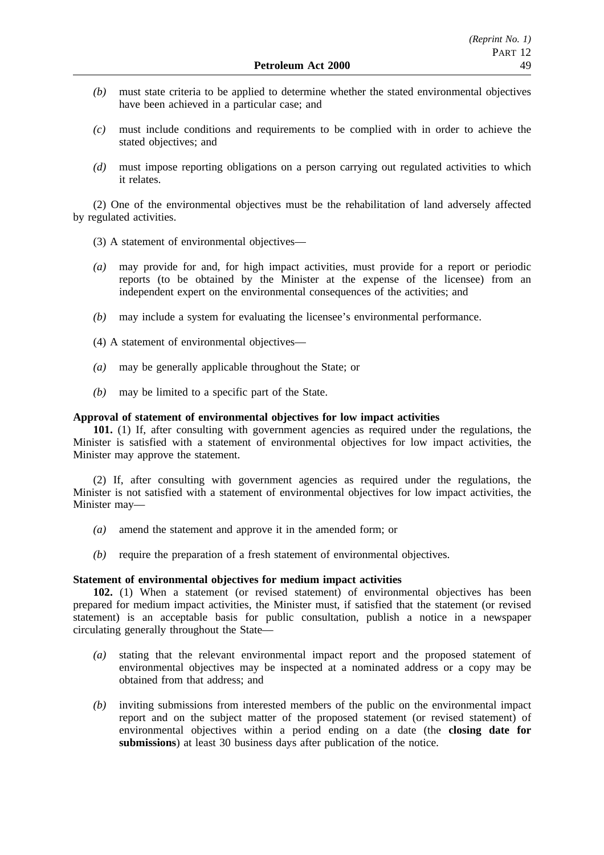- *(b)* must state criteria to be applied to determine whether the stated environmental objectives have been achieved in a particular case; and
- *(c)* must include conditions and requirements to be complied with in order to achieve the stated objectives; and
- *(d)* must impose reporting obligations on a person carrying out regulated activities to which it relates.

(2) One of the environmental objectives must be the rehabilitation of land adversely affected by regulated activities.

- (3) A statement of environmental objectives—
- *(a)* may provide for and, for high impact activities, must provide for a report or periodic reports (to be obtained by the Minister at the expense of the licensee) from an independent expert on the environmental consequences of the activities; and
- *(b)* may include a system for evaluating the licensee's environmental performance.
- (4) A statement of environmental objectives—
- *(a)* may be generally applicable throughout the State; or
- *(b)* may be limited to a specific part of the State.

## **Approval of statement of environmental objectives for low impact activities**

**101.** (1) If, after consulting with government agencies as required under the regulations, the Minister is satisfied with a statement of environmental objectives for low impact activities, the Minister may approve the statement.

(2) If, after consulting with government agencies as required under the regulations, the Minister is not satisfied with a statement of environmental objectives for low impact activities, the Minister may—

- *(a)* amend the statement and approve it in the amended form; or
- *(b)* require the preparation of a fresh statement of environmental objectives.

### **Statement of environmental objectives for medium impact activities**

**102.** (1) When a statement (or revised statement) of environmental objectives has been prepared for medium impact activities, the Minister must, if satisfied that the statement (or revised statement) is an acceptable basis for public consultation, publish a notice in a newspaper circulating generally throughout the State—

- *(a)* stating that the relevant environmental impact report and the proposed statement of environmental objectives may be inspected at a nominated address or a copy may be obtained from that address; and
- *(b)* inviting submissions from interested members of the public on the environmental impact report and on the subject matter of the proposed statement (or revised statement) of environmental objectives within a period ending on a date (the **closing date for submissions**) at least 30 business days after publication of the notice.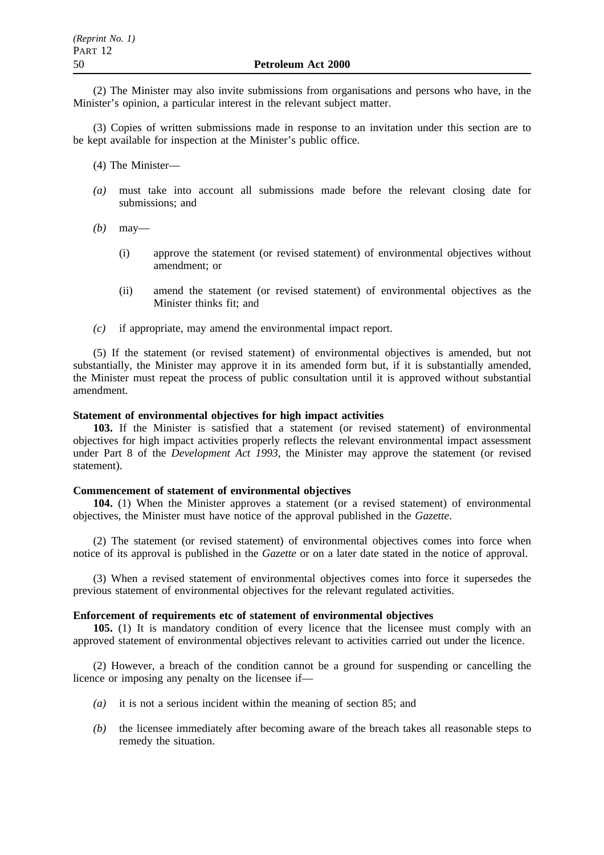(2) The Minister may also invite submissions from organisations and persons who have, in the Minister's opinion, a particular interest in the relevant subject matter.

(3) Copies of written submissions made in response to an invitation under this section are to be kept available for inspection at the Minister's public office.

- (4) The Minister—
- *(a)* must take into account all submissions made before the relevant closing date for submissions; and
- *(b)* may—
	- (i) approve the statement (or revised statement) of environmental objectives without amendment; or
	- (ii) amend the statement (or revised statement) of environmental objectives as the Minister thinks fit; and
- *(c)* if appropriate, may amend the environmental impact report.

(5) If the statement (or revised statement) of environmental objectives is amended, but not substantially, the Minister may approve it in its amended form but, if it is substantially amended, the Minister must repeat the process of public consultation until it is approved without substantial amendment.

## **Statement of environmental objectives for high impact activities**

**103.** If the Minister is satisfied that a statement (or revised statement) of environmental objectives for high impact activities properly reflects the relevant environmental impact assessment under Part 8 of the *Development Act 1993*, the Minister may approve the statement (or revised statement).

#### **Commencement of statement of environmental objectives**

**104.** (1) When the Minister approves a statement (or a revised statement) of environmental objectives, the Minister must have notice of the approval published in the *Gazette*.

(2) The statement (or revised statement) of environmental objectives comes into force when notice of its approval is published in the *Gazette* or on a later date stated in the notice of approval.

(3) When a revised statement of environmental objectives comes into force it supersedes the previous statement of environmental objectives for the relevant regulated activities.

## **Enforcement of requirements etc of statement of environmental objectives**

**105.** (1) It is mandatory condition of every licence that the licensee must comply with an approved statement of environmental objectives relevant to activities carried out under the licence.

(2) However, a breach of the condition cannot be a ground for suspending or cancelling the licence or imposing any penalty on the licensee if—

- *(a)* it is not a serious incident within the meaning of section 85; and
- *(b)* the licensee immediately after becoming aware of the breach takes all reasonable steps to remedy the situation.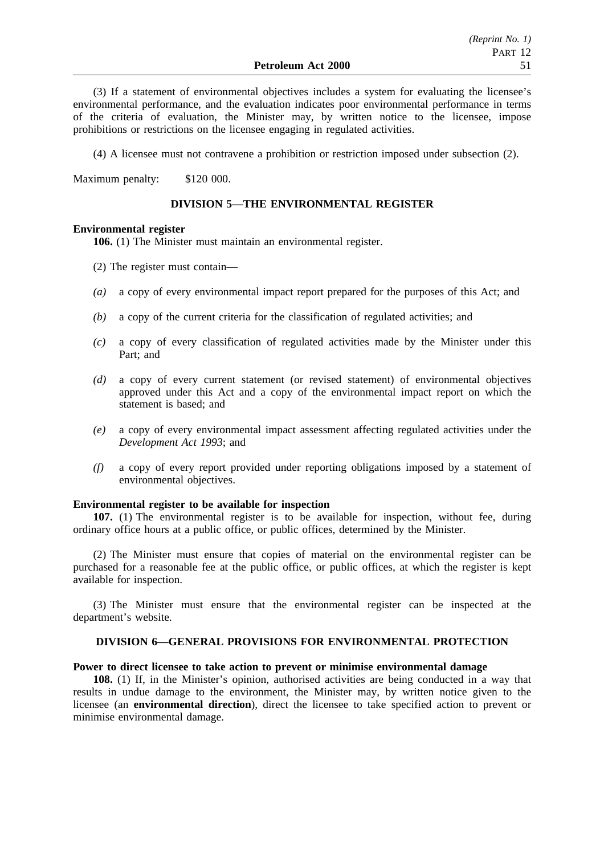(3) If a statement of environmental objectives includes a system for evaluating the licensee's environmental performance, and the evaluation indicates poor environmental performance in terms of the criteria of evaluation, the Minister may, by written notice to the licensee, impose prohibitions or restrictions on the licensee engaging in regulated activities.

(4) A licensee must not contravene a prohibition or restriction imposed under subsection (2).

Maximum penalty: \$120 000.

## **DIVISION 5—THE ENVIRONMENTAL REGISTER**

## **Environmental register**

**106.** (1) The Minister must maintain an environmental register.

- (2) The register must contain—
- *(a)* a copy of every environmental impact report prepared for the purposes of this Act; and
- *(b)* a copy of the current criteria for the classification of regulated activities; and
- *(c)* a copy of every classification of regulated activities made by the Minister under this Part; and
- *(d)* a copy of every current statement (or revised statement) of environmental objectives approved under this Act and a copy of the environmental impact report on which the statement is based; and
- *(e)* a copy of every environmental impact assessment affecting regulated activities under the *Development Act 1993*; and
- *(f)* a copy of every report provided under reporting obligations imposed by a statement of environmental objectives.

## **Environmental register to be available for inspection**

**107.** (1) The environmental register is to be available for inspection, without fee, during ordinary office hours at a public office, or public offices, determined by the Minister.

(2) The Minister must ensure that copies of material on the environmental register can be purchased for a reasonable fee at the public office, or public offices, at which the register is kept available for inspection.

(3) The Minister must ensure that the environmental register can be inspected at the department's website.

## **DIVISION 6—GENERAL PROVISIONS FOR ENVIRONMENTAL PROTECTION**

## **Power to direct licensee to take action to prevent or minimise environmental damage**

**108.** (1) If, in the Minister's opinion, authorised activities are being conducted in a way that results in undue damage to the environment, the Minister may, by written notice given to the licensee (an **environmental direction**), direct the licensee to take specified action to prevent or minimise environmental damage.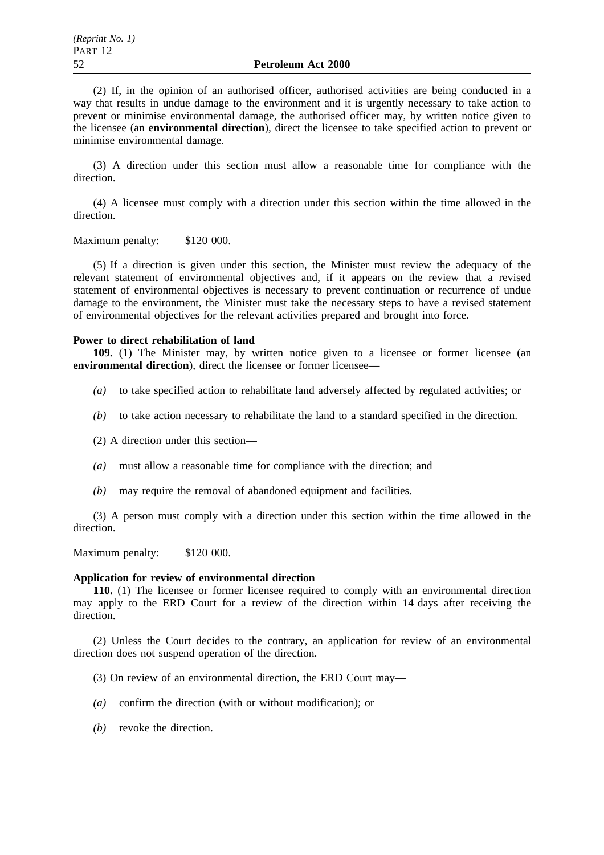(2) If, in the opinion of an authorised officer, authorised activities are being conducted in a way that results in undue damage to the environment and it is urgently necessary to take action to prevent or minimise environmental damage, the authorised officer may, by written notice given to the licensee (an **environmental direction**), direct the licensee to take specified action to prevent or minimise environmental damage.

(3) A direction under this section must allow a reasonable time for compliance with the direction.

(4) A licensee must comply with a direction under this section within the time allowed in the direction.

Maximum penalty: \$120 000.

(5) If a direction is given under this section, the Minister must review the adequacy of the relevant statement of environmental objectives and, if it appears on the review that a revised statement of environmental objectives is necessary to prevent continuation or recurrence of undue damage to the environment, the Minister must take the necessary steps to have a revised statement of environmental objectives for the relevant activities prepared and brought into force.

### **Power to direct rehabilitation of land**

**109.** (1) The Minister may, by written notice given to a licensee or former licensee (an **environmental direction**), direct the licensee or former licensee—

- *(a)* to take specified action to rehabilitate land adversely affected by regulated activities; or
- *(b)* to take action necessary to rehabilitate the land to a standard specified in the direction.
- (2) A direction under this section—
- *(a)* must allow a reasonable time for compliance with the direction; and
- *(b)* may require the removal of abandoned equipment and facilities.

(3) A person must comply with a direction under this section within the time allowed in the direction.

Maximum penalty: \$120 000.

#### **Application for review of environmental direction**

**110.** (1) The licensee or former licensee required to comply with an environmental direction may apply to the ERD Court for a review of the direction within 14 days after receiving the direction.

(2) Unless the Court decides to the contrary, an application for review of an environmental direction does not suspend operation of the direction.

- (3) On review of an environmental direction, the ERD Court may—
- *(a)* confirm the direction (with or without modification); or
- *(b)* revoke the direction.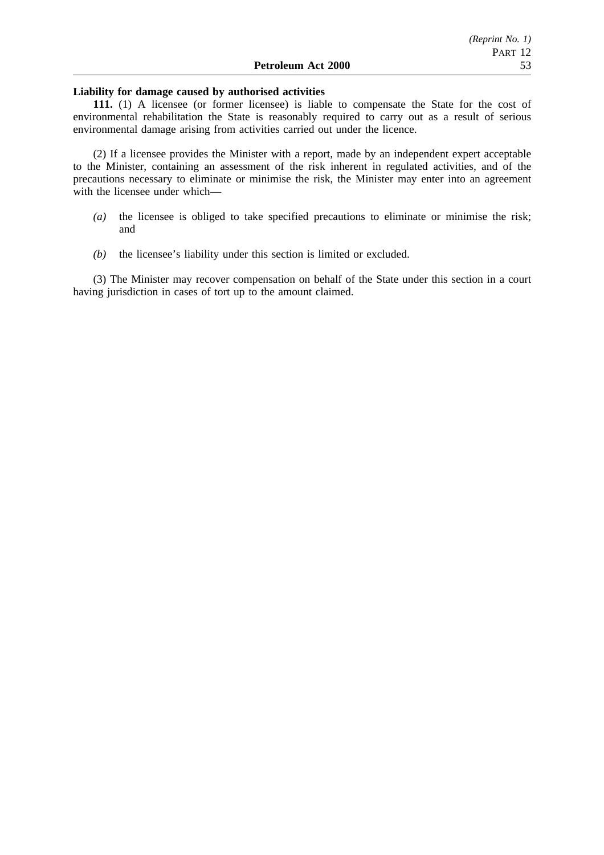### **Liability for damage caused by authorised activities**

**111.** (1) A licensee (or former licensee) is liable to compensate the State for the cost of environmental rehabilitation the State is reasonably required to carry out as a result of serious environmental damage arising from activities carried out under the licence.

(2) If a licensee provides the Minister with a report, made by an independent expert acceptable to the Minister, containing an assessment of the risk inherent in regulated activities, and of the precautions necessary to eliminate or minimise the risk, the Minister may enter into an agreement with the licensee under which—

- *(a)* the licensee is obliged to take specified precautions to eliminate or minimise the risk; and
- *(b)* the licensee's liability under this section is limited or excluded.

(3) The Minister may recover compensation on behalf of the State under this section in a court having jurisdiction in cases of tort up to the amount claimed.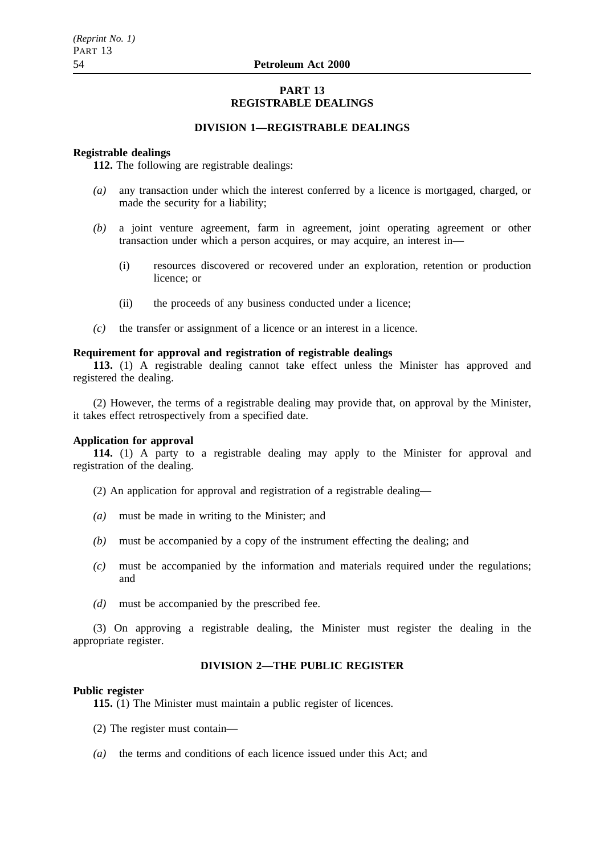## **PART 13 REGISTRABLE DEALINGS**

## **DIVISION 1—REGISTRABLE DEALINGS**

### **Registrable dealings**

**112.** The following are registrable dealings:

- *(a)* any transaction under which the interest conferred by a licence is mortgaged, charged, or made the security for a liability;
- *(b)* a joint venture agreement, farm in agreement, joint operating agreement or other transaction under which a person acquires, or may acquire, an interest in—
	- (i) resources discovered or recovered under an exploration, retention or production licence; or
	- (ii) the proceeds of any business conducted under a licence;
- *(c)* the transfer or assignment of a licence or an interest in a licence.

#### **Requirement for approval and registration of registrable dealings**

**113.** (1) A registrable dealing cannot take effect unless the Minister has approved and registered the dealing.

(2) However, the terms of a registrable dealing may provide that, on approval by the Minister, it takes effect retrospectively from a specified date.

## **Application for approval**

**114.** (1) A party to a registrable dealing may apply to the Minister for approval and registration of the dealing.

- (2) An application for approval and registration of a registrable dealing—
- *(a)* must be made in writing to the Minister; and
- *(b)* must be accompanied by a copy of the instrument effecting the dealing; and
- *(c)* must be accompanied by the information and materials required under the regulations; and
- *(d)* must be accompanied by the prescribed fee.

(3) On approving a registrable dealing, the Minister must register the dealing in the appropriate register.

## **DIVISION 2—THE PUBLIC REGISTER**

#### **Public register**

**115.** (1) The Minister must maintain a public register of licences.

- (2) The register must contain—
- *(a)* the terms and conditions of each licence issued under this Act; and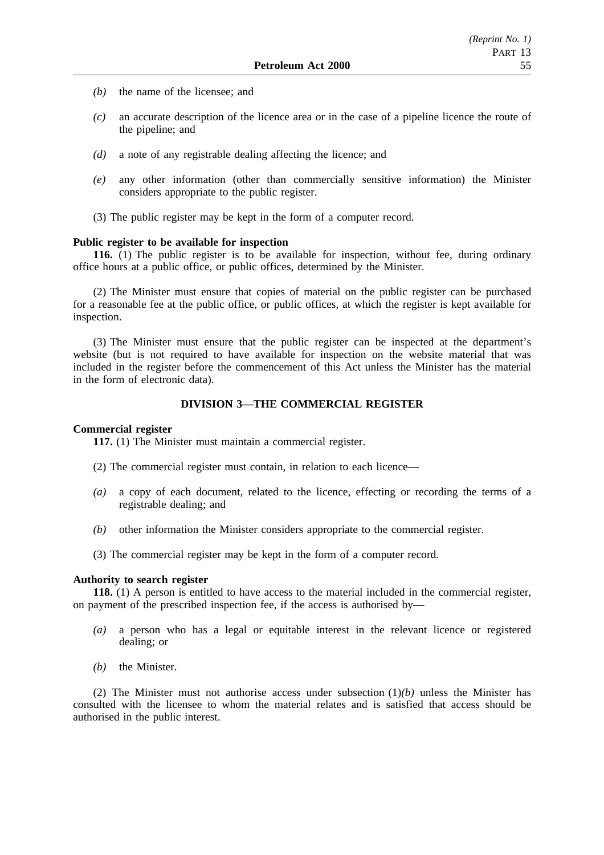- *(b)* the name of the licensee; and
- *(c)* an accurate description of the licence area or in the case of a pipeline licence the route of the pipeline; and
- *(d)* a note of any registrable dealing affecting the licence; and
- *(e)* any other information (other than commercially sensitive information) the Minister considers appropriate to the public register.
- (3) The public register may be kept in the form of a computer record.

#### **Public register to be available for inspection**

**116.** (1) The public register is to be available for inspection, without fee, during ordinary office hours at a public office, or public offices, determined by the Minister.

(2) The Minister must ensure that copies of material on the public register can be purchased for a reasonable fee at the public office, or public offices, at which the register is kept available for inspection.

(3) The Minister must ensure that the public register can be inspected at the department's website (but is not required to have available for inspection on the website material that was included in the register before the commencement of this Act unless the Minister has the material in the form of electronic data).

### **DIVISION 3—THE COMMERCIAL REGISTER**

### **Commercial register**

**117.** (1) The Minister must maintain a commercial register.

(2) The commercial register must contain, in relation to each licence—

- *(a)* a copy of each document, related to the licence, effecting or recording the terms of a registrable dealing; and
- *(b)* other information the Minister considers appropriate to the commercial register.
- (3) The commercial register may be kept in the form of a computer record.

### **Authority to search register**

**118.** (1) A person is entitled to have access to the material included in the commercial register, on payment of the prescribed inspection fee, if the access is authorised by—

- *(a)* a person who has a legal or equitable interest in the relevant licence or registered dealing; or
- *(b)* the Minister.

(2) The Minister must not authorise access under subsection (1)*(b)* unless the Minister has consulted with the licensee to whom the material relates and is satisfied that access should be authorised in the public interest.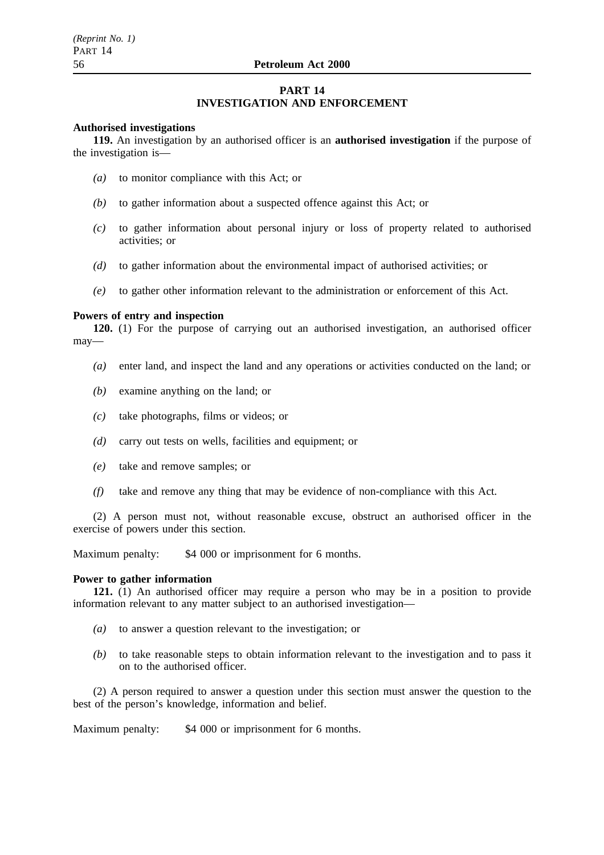## **PART 14**

## **INVESTIGATION AND ENFORCEMENT**

### **Authorised investigations**

**119.** An investigation by an authorised officer is an **authorised investigation** if the purpose of the investigation is—

- *(a)* to monitor compliance with this Act; or
- *(b)* to gather information about a suspected offence against this Act; or
- *(c)* to gather information about personal injury or loss of property related to authorised activities; or
- *(d)* to gather information about the environmental impact of authorised activities; or
- *(e)* to gather other information relevant to the administration or enforcement of this Act.

#### **Powers of entry and inspection**

**120.** (1) For the purpose of carrying out an authorised investigation, an authorised officer may—

- *(a)* enter land, and inspect the land and any operations or activities conducted on the land; or
- *(b)* examine anything on the land; or
- *(c)* take photographs, films or videos; or
- *(d)* carry out tests on wells, facilities and equipment; or
- *(e)* take and remove samples; or
- *(f)* take and remove any thing that may be evidence of non-compliance with this Act.

(2) A person must not, without reasonable excuse, obstruct an authorised officer in the exercise of powers under this section.

Maximum penalty: \$4,000 or imprisonment for 6 months.

#### **Power to gather information**

**121.** (1) An authorised officer may require a person who may be in a position to provide information relevant to any matter subject to an authorised investigation—

- *(a)* to answer a question relevant to the investigation; or
- *(b)* to take reasonable steps to obtain information relevant to the investigation and to pass it on to the authorised officer.

(2) A person required to answer a question under this section must answer the question to the best of the person's knowledge, information and belief.

Maximum penalty: \$4,000 or imprisonment for 6 months.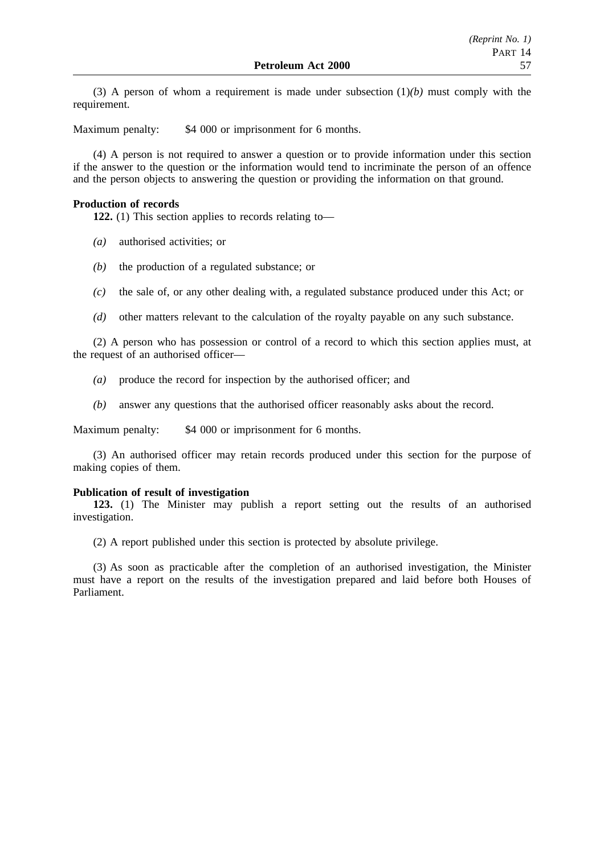(3) A person of whom a requirement is made under subsection  $(1)(b)$  must comply with the requirement.

Maximum penalty: \$4 000 or imprisonment for 6 months.

(4) A person is not required to answer a question or to provide information under this section if the answer to the question or the information would tend to incriminate the person of an offence and the person objects to answering the question or providing the information on that ground.

### **Production of records**

**122.** (1) This section applies to records relating to—

- *(a)* authorised activities; or
- *(b)* the production of a regulated substance; or
- *(c)* the sale of, or any other dealing with, a regulated substance produced under this Act; or
- *(d)* other matters relevant to the calculation of the royalty payable on any such substance.

(2) A person who has possession or control of a record to which this section applies must, at the request of an authorised officer—

- *(a)* produce the record for inspection by the authorised officer; and
- *(b)* answer any questions that the authorised officer reasonably asks about the record.

Maximum penalty: \$4 000 or imprisonment for 6 months.

(3) An authorised officer may retain records produced under this section for the purpose of making copies of them.

#### **Publication of result of investigation**

**123.** (1) The Minister may publish a report setting out the results of an authorised investigation.

(2) A report published under this section is protected by absolute privilege.

(3) As soon as practicable after the completion of an authorised investigation, the Minister must have a report on the results of the investigation prepared and laid before both Houses of Parliament.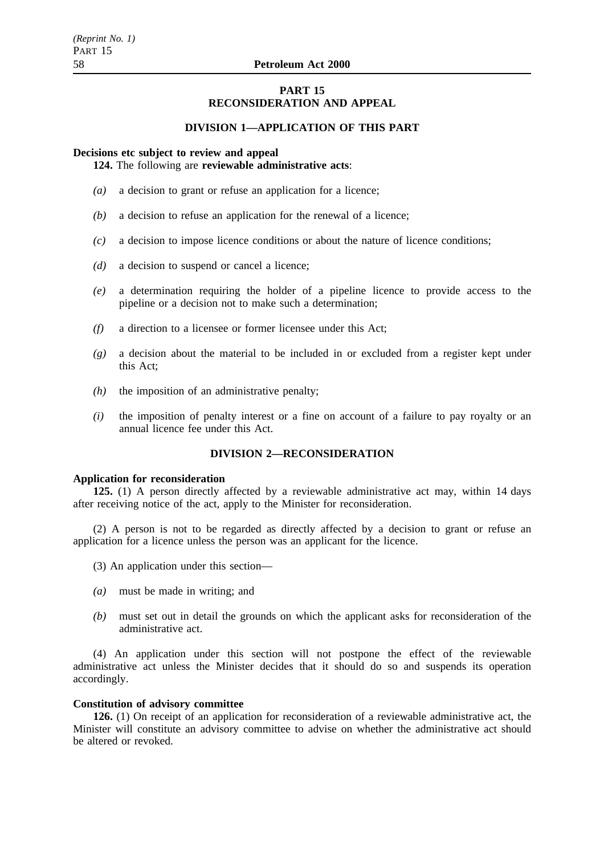## **PART 15 RECONSIDERATION AND APPEAL**

## **DIVISION 1—APPLICATION OF THIS PART**

# **Decisions etc subject to review and appeal**

## **124.** The following are **reviewable administrative acts**:

- *(a)* a decision to grant or refuse an application for a licence;
- *(b)* a decision to refuse an application for the renewal of a licence;
- *(c)* a decision to impose licence conditions or about the nature of licence conditions;
- *(d)* a decision to suspend or cancel a licence;
- *(e)* a determination requiring the holder of a pipeline licence to provide access to the pipeline or a decision not to make such a determination;
- *(f)* a direction to a licensee or former licensee under this Act;
- *(g)* a decision about the material to be included in or excluded from a register kept under this Act;
- *(h)* the imposition of an administrative penalty;
- *(i)* the imposition of penalty interest or a fine on account of a failure to pay royalty or an annual licence fee under this Act.

## **DIVISION 2—RECONSIDERATION**

#### **Application for reconsideration**

**125.** (1) A person directly affected by a reviewable administrative act may, within 14 days after receiving notice of the act, apply to the Minister for reconsideration.

(2) A person is not to be regarded as directly affected by a decision to grant or refuse an application for a licence unless the person was an applicant for the licence.

- (3) An application under this section—
- *(a)* must be made in writing; and
- *(b)* must set out in detail the grounds on which the applicant asks for reconsideration of the administrative act.

(4) An application under this section will not postpone the effect of the reviewable administrative act unless the Minister decides that it should do so and suspends its operation accordingly.

#### **Constitution of advisory committee**

**126.** (1) On receipt of an application for reconsideration of a reviewable administrative act, the Minister will constitute an advisory committee to advise on whether the administrative act should be altered or revoked.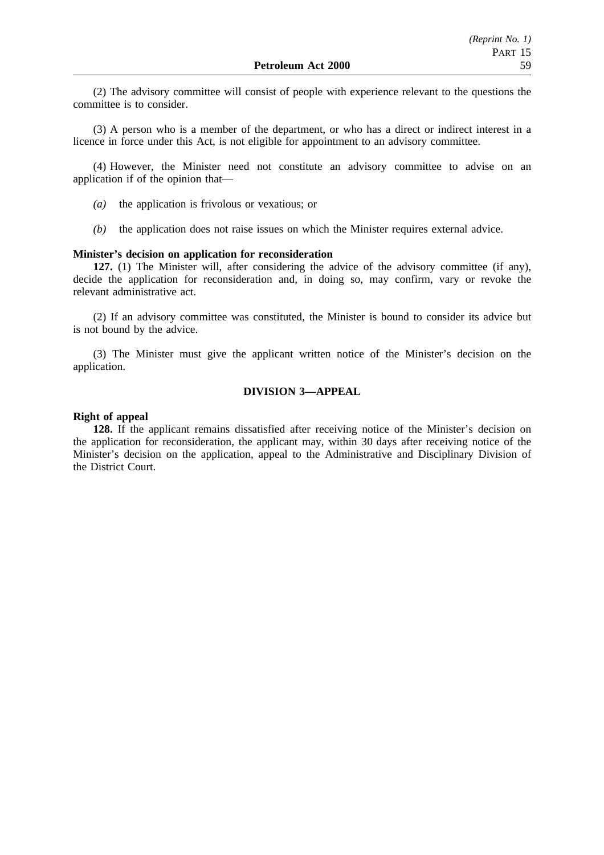(2) The advisory committee will consist of people with experience relevant to the questions the committee is to consider.

(3) A person who is a member of the department, or who has a direct or indirect interest in a licence in force under this Act, is not eligible for appointment to an advisory committee.

(4) However, the Minister need not constitute an advisory committee to advise on an application if of the opinion that—

- *(a)* the application is frivolous or vexatious; or
- *(b)* the application does not raise issues on which the Minister requires external advice.

## **Minister's decision on application for reconsideration**

**127.** (1) The Minister will, after considering the advice of the advisory committee (if any), decide the application for reconsideration and, in doing so, may confirm, vary or revoke the relevant administrative act.

(2) If an advisory committee was constituted, the Minister is bound to consider its advice but is not bound by the advice.

(3) The Minister must give the applicant written notice of the Minister's decision on the application.

## **DIVISION 3—APPEAL**

## **Right of appeal**

**128.** If the applicant remains dissatisfied after receiving notice of the Minister's decision on the application for reconsideration, the applicant may, within 30 days after receiving notice of the Minister's decision on the application, appeal to the Administrative and Disciplinary Division of the District Court.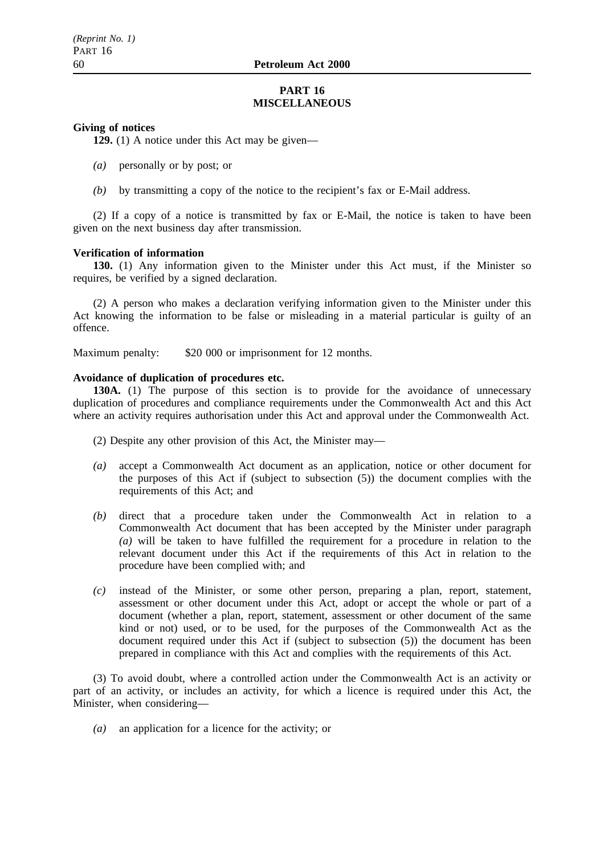## **PART 16 MISCELLANEOUS**

## **Giving of notices**

**129.** (1) A notice under this Act may be given—

- *(a)* personally or by post; or
- *(b)* by transmitting a copy of the notice to the recipient's fax or E-Mail address.

(2) If a copy of a notice is transmitted by fax or E-Mail, the notice is taken to have been given on the next business day after transmission.

### **Verification of information**

**130.** (1) Any information given to the Minister under this Act must, if the Minister so requires, be verified by a signed declaration.

(2) A person who makes a declaration verifying information given to the Minister under this Act knowing the information to be false or misleading in a material particular is guilty of an offence.

Maximum penalty: \$20,000 or imprisonment for 12 months.

## **Avoidance of duplication of procedures etc.**

**130A.** (1) The purpose of this section is to provide for the avoidance of unnecessary duplication of procedures and compliance requirements under the Commonwealth Act and this Act where an activity requires authorisation under this Act and approval under the Commonwealth Act.

- (2) Despite any other provision of this Act, the Minister may—
- *(a)* accept a Commonwealth Act document as an application, notice or other document for the purposes of this Act if (subject to subsection (5)) the document complies with the requirements of this Act; and
- *(b)* direct that a procedure taken under the Commonwealth Act in relation to a Commonwealth Act document that has been accepted by the Minister under paragraph *(a)* will be taken to have fulfilled the requirement for a procedure in relation to the relevant document under this Act if the requirements of this Act in relation to the procedure have been complied with; and
- *(c)* instead of the Minister, or some other person, preparing a plan, report, statement, assessment or other document under this Act, adopt or accept the whole or part of a document (whether a plan, report, statement, assessment or other document of the same kind or not) used, or to be used, for the purposes of the Commonwealth Act as the document required under this Act if (subject to subsection (5)) the document has been prepared in compliance with this Act and complies with the requirements of this Act.

(3) To avoid doubt, where a controlled action under the Commonwealth Act is an activity or part of an activity, or includes an activity, for which a licence is required under this Act, the Minister, when considering—

*(a)* an application for a licence for the activity; or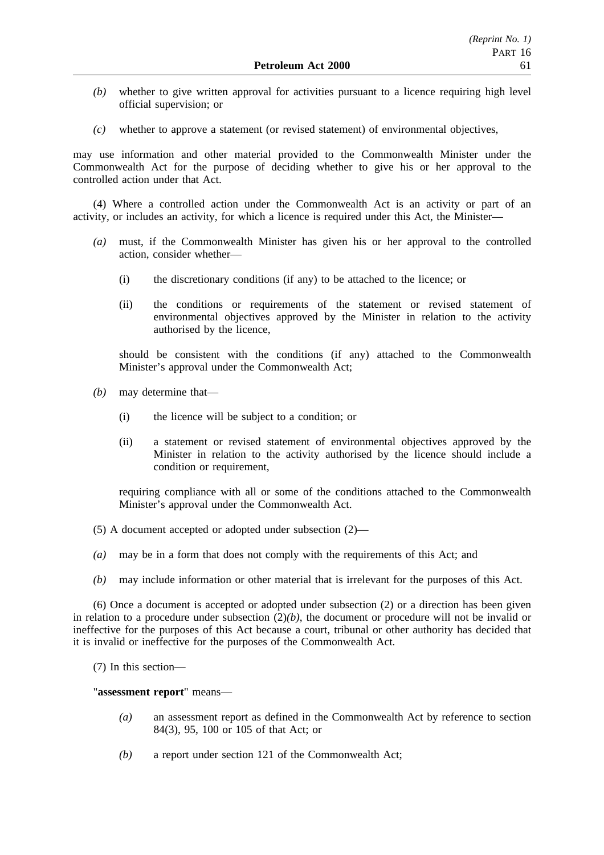- *(b)* whether to give written approval for activities pursuant to a licence requiring high level official supervision; or
- *(c)* whether to approve a statement (or revised statement) of environmental objectives,

may use information and other material provided to the Commonwealth Minister under the Commonwealth Act for the purpose of deciding whether to give his or her approval to the controlled action under that Act.

(4) Where a controlled action under the Commonwealth Act is an activity or part of an activity, or includes an activity, for which a licence is required under this Act, the Minister—

- *(a)* must, if the Commonwealth Minister has given his or her approval to the controlled action, consider whether—
	- (i) the discretionary conditions (if any) to be attached to the licence; or
	- (ii) the conditions or requirements of the statement or revised statement of environmental objectives approved by the Minister in relation to the activity authorised by the licence,

should be consistent with the conditions (if any) attached to the Commonwealth Minister's approval under the Commonwealth Act;

- *(b)* may determine that—
	- (i) the licence will be subject to a condition; or
	- (ii) a statement or revised statement of environmental objectives approved by the Minister in relation to the activity authorised by the licence should include a condition or requirement,

requiring compliance with all or some of the conditions attached to the Commonwealth Minister's approval under the Commonwealth Act.

- (5) A document accepted or adopted under subsection (2)—
- *(a)* may be in a form that does not comply with the requirements of this Act; and
- *(b)* may include information or other material that is irrelevant for the purposes of this Act.

(6) Once a document is accepted or adopted under subsection (2) or a direction has been given in relation to a procedure under subsection  $(2)(b)$ , the document or procedure will not be invalid or ineffective for the purposes of this Act because a court, tribunal or other authority has decided that it is invalid or ineffective for the purposes of the Commonwealth Act.

(7) In this section—

"**assessment report**" means—

- *(a)* an assessment report as defined in the Commonwealth Act by reference to section 84(3), 95, 100 or 105 of that Act; or
- *(b)* a report under section 121 of the Commonwealth Act;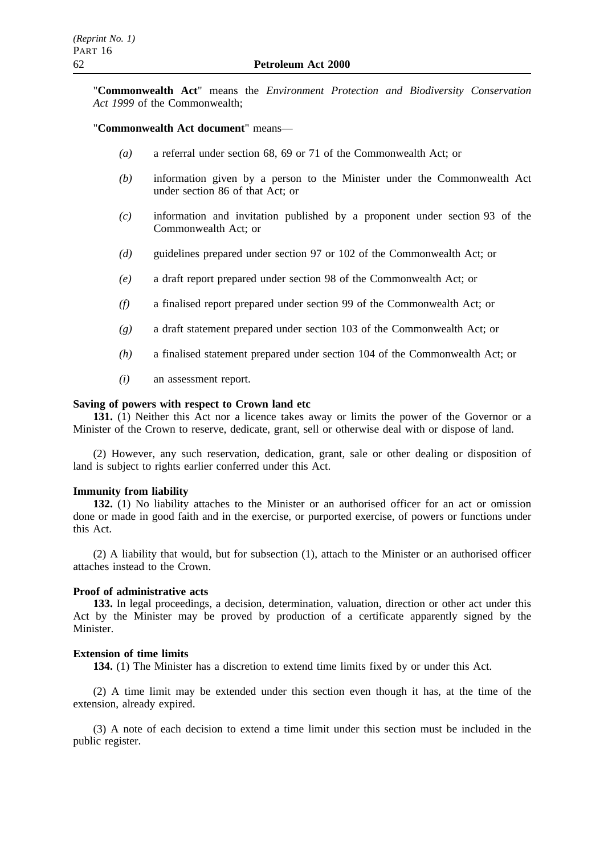"**Commonwealth Act**" means the *Environment Protection and Biodiversity Conservation Act 1999* of the Commonwealth;

### "**Commonwealth Act document**" means—

- *(a)* a referral under section 68, 69 or 71 of the Commonwealth Act; or
- *(b)* information given by a person to the Minister under the Commonwealth Act under section 86 of that Act; or
- *(c)* information and invitation published by a proponent under section 93 of the Commonwealth Act; or
- *(d)* guidelines prepared under section 97 or 102 of the Commonwealth Act; or
- *(e)* a draft report prepared under section 98 of the Commonwealth Act; or
- *(f)* a finalised report prepared under section 99 of the Commonwealth Act; or
- *(g)* a draft statement prepared under section 103 of the Commonwealth Act; or
- *(h)* a finalised statement prepared under section 104 of the Commonwealth Act; or
- *(i)* an assessment report.

#### **Saving of powers with respect to Crown land etc**

**131.** (1) Neither this Act nor a licence takes away or limits the power of the Governor or a Minister of the Crown to reserve, dedicate, grant, sell or otherwise deal with or dispose of land.

(2) However, any such reservation, dedication, grant, sale or other dealing or disposition of land is subject to rights earlier conferred under this Act.

#### **Immunity from liability**

**132.** (1) No liability attaches to the Minister or an authorised officer for an act or omission done or made in good faith and in the exercise, or purported exercise, of powers or functions under this Act.

(2) A liability that would, but for subsection (1), attach to the Minister or an authorised officer attaches instead to the Crown.

#### **Proof of administrative acts**

**133.** In legal proceedings, a decision, determination, valuation, direction or other act under this Act by the Minister may be proved by production of a certificate apparently signed by the Minister.

#### **Extension of time limits**

**134.** (1) The Minister has a discretion to extend time limits fixed by or under this Act.

(2) A time limit may be extended under this section even though it has, at the time of the extension, already expired.

(3) A note of each decision to extend a time limit under this section must be included in the public register.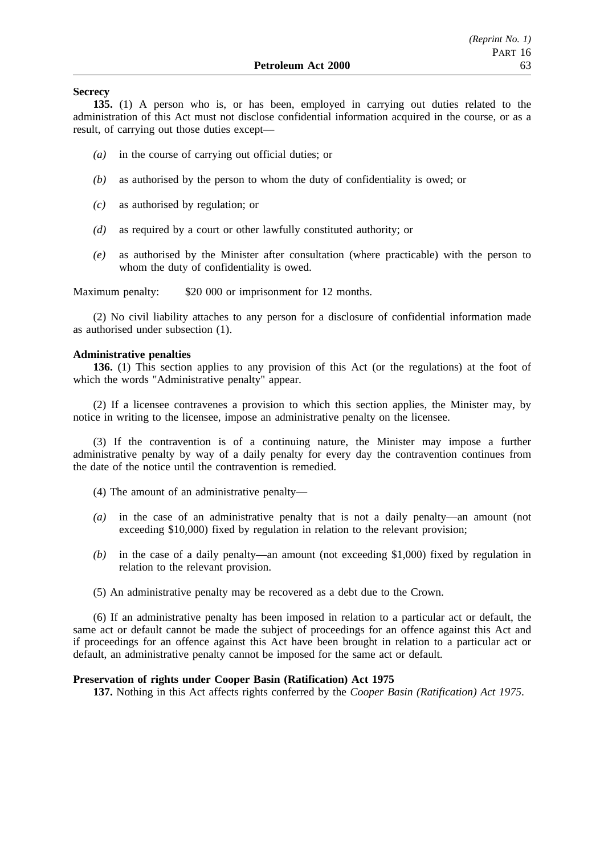### **Secrecy**

**135.** (1) A person who is, or has been, employed in carrying out duties related to the administration of this Act must not disclose confidential information acquired in the course, or as a result, of carrying out those duties except—

- *(a)* in the course of carrying out official duties; or
- *(b)* as authorised by the person to whom the duty of confidentiality is owed; or
- *(c)* as authorised by regulation; or
- *(d)* as required by a court or other lawfully constituted authority; or
- *(e)* as authorised by the Minister after consultation (where practicable) with the person to whom the duty of confidentiality is owed.

Maximum penalty: \$20 000 or imprisonment for 12 months.

(2) No civil liability attaches to any person for a disclosure of confidential information made as authorised under subsection (1).

#### **Administrative penalties**

**136.** (1) This section applies to any provision of this Act (or the regulations) at the foot of which the words "Administrative penalty" appear.

(2) If a licensee contravenes a provision to which this section applies, the Minister may, by notice in writing to the licensee, impose an administrative penalty on the licensee.

(3) If the contravention is of a continuing nature, the Minister may impose a further administrative penalty by way of a daily penalty for every day the contravention continues from the date of the notice until the contravention is remedied.

- (4) The amount of an administrative penalty—
- *(a)* in the case of an administrative penalty that is not a daily penalty—an amount (not exceeding \$10,000) fixed by regulation in relation to the relevant provision;
- *(b)* in the case of a daily penalty—an amount (not exceeding \$1,000) fixed by regulation in relation to the relevant provision.

(5) An administrative penalty may be recovered as a debt due to the Crown.

(6) If an administrative penalty has been imposed in relation to a particular act or default, the same act or default cannot be made the subject of proceedings for an offence against this Act and if proceedings for an offence against this Act have been brought in relation to a particular act or default, an administrative penalty cannot be imposed for the same act or default.

### **Preservation of rights under Cooper Basin (Ratification) Act 1975**

**137.** Nothing in this Act affects rights conferred by the *Cooper Basin (Ratification) Act 1975*.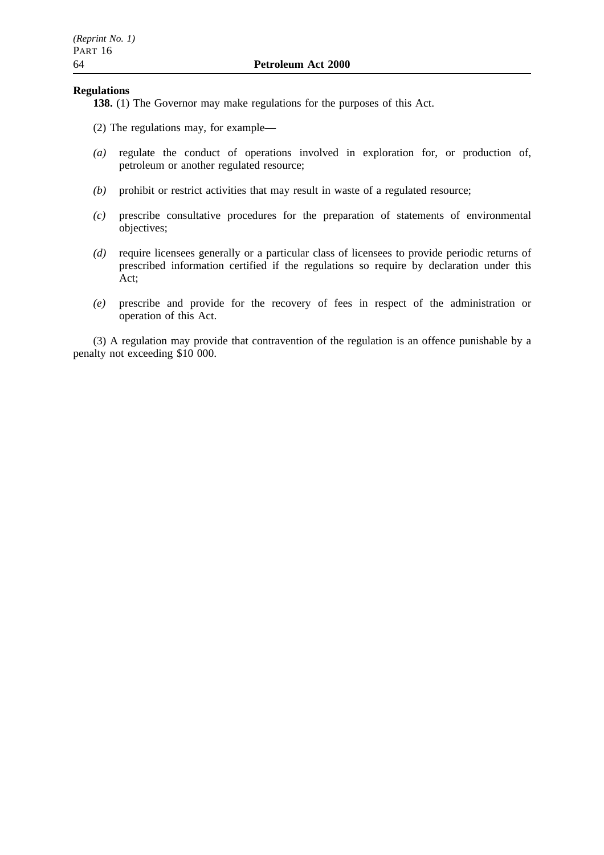### **Regulations**

**138.** (1) The Governor may make regulations for the purposes of this Act.

- (2) The regulations may, for example—
- *(a)* regulate the conduct of operations involved in exploration for, or production of, petroleum or another regulated resource;
- *(b)* prohibit or restrict activities that may result in waste of a regulated resource;
- *(c)* prescribe consultative procedures for the preparation of statements of environmental objectives;
- *(d)* require licensees generally or a particular class of licensees to provide periodic returns of prescribed information certified if the regulations so require by declaration under this Act;
- *(e)* prescribe and provide for the recovery of fees in respect of the administration or operation of this Act.

(3) A regulation may provide that contravention of the regulation is an offence punishable by a penalty not exceeding \$10 000.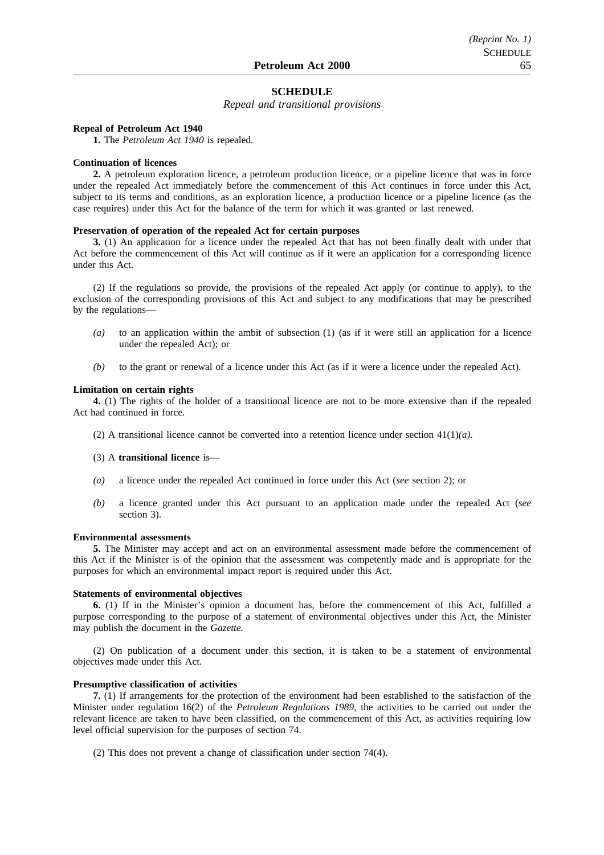### **SCHEDULE**

*Repeal and transitional provisions*

#### **Repeal of Petroleum Act 1940**

**1.** The *Petroleum Act 1940* is repealed.

#### **Continuation of licences**

**2.** A petroleum exploration licence, a petroleum production licence, or a pipeline licence that was in force under the repealed Act immediately before the commencement of this Act continues in force under this Act, subject to its terms and conditions, as an exploration licence, a production licence or a pipeline licence (as the case requires) under this Act for the balance of the term for which it was granted or last renewed.

#### **Preservation of operation of the repealed Act for certain purposes**

**3.** (1) An application for a licence under the repealed Act that has not been finally dealt with under that Act before the commencement of this Act will continue as if it were an application for a corresponding licence under this Act.

(2) If the regulations so provide, the provisions of the repealed Act apply (or continue to apply), to the exclusion of the corresponding provisions of this Act and subject to any modifications that may be prescribed by the regulations—

- *(a)* to an application within the ambit of subsection (1) (as if it were still an application for a licence under the repealed Act); or
- *(b)* to the grant or renewal of a licence under this Act (as if it were a licence under the repealed Act).

#### **Limitation on certain rights**

**4.** (1) The rights of the holder of a transitional licence are not to be more extensive than if the repealed Act had continued in force.

- (2) A transitional licence cannot be converted into a retention licence under section 41(1)*(a)*.
- (3) A **transitional licence** is—
- *(a)* a licence under the repealed Act continued in force under this Act (*see* section 2); or
- *(b)* a licence granted under this Act pursuant to an application made under the repealed Act (*see* section 3).

#### **Environmental assessments**

**5.** The Minister may accept and act on an environmental assessment made before the commencement of this Act if the Minister is of the opinion that the assessment was competently made and is appropriate for the purposes for which an environmental impact report is required under this Act.

#### **Statements of environmental objectives**

**6.** (1) If in the Minister's opinion a document has, before the commencement of this Act, fulfilled a purpose corresponding to the purpose of a statement of environmental objectives under this Act, the Minister may publish the document in the *Gazette.*

(2) On publication of a document under this section, it is taken to be a statement of environmental objectives made under this Act.

#### **Presumptive classification of activities**

**7.** (1) If arrangements for the protection of the environment had been established to the satisfaction of the Minister under regulation 16(2) of the *Petroleum Regulations 1989*, the activities to be carried out under the relevant licence are taken to have been classified, on the commencement of this Act, as activities requiring low level official supervision for the purposes of section 74.

(2) This does not prevent a change of classification under section 74(4).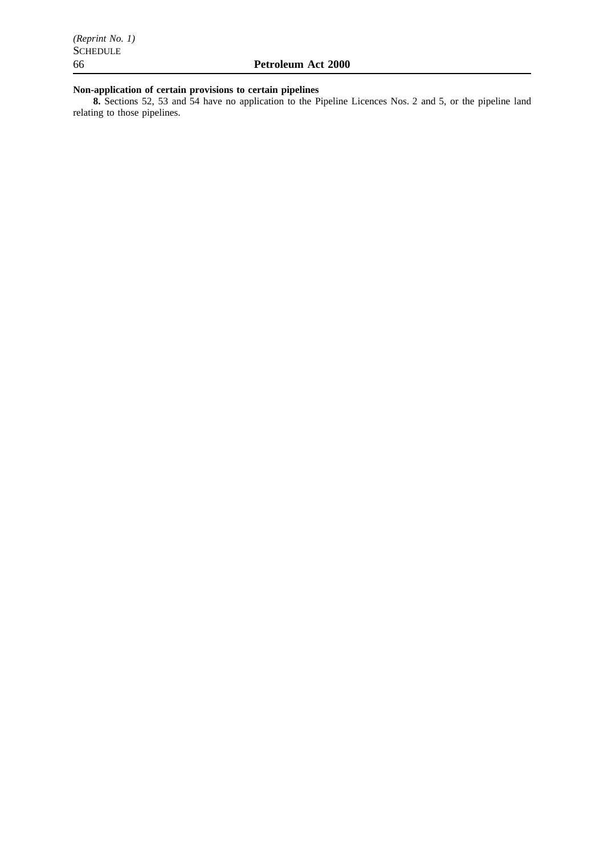#### **Non-application of certain provisions to certain pipelines**

**8.** Sections 52, 53 and 54 have no application to the Pipeline Licences Nos. 2 and 5, or the pipeline land relating to those pipelines.